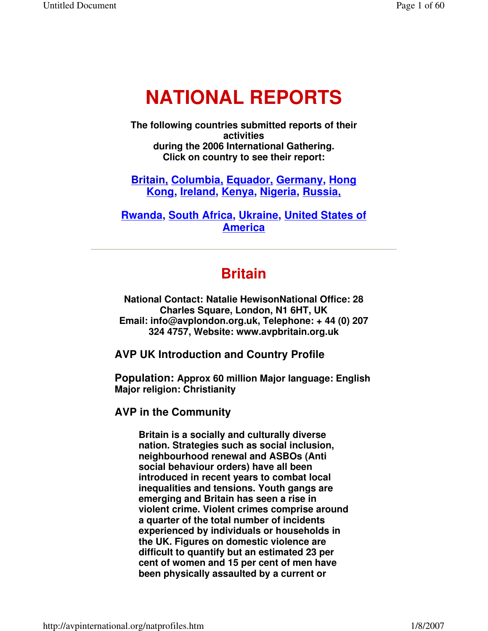# **NATIONAL REPORTS**

**The following countries submitted reports of their activities during the 2006 International Gathering. Click on country to see their report:**

**Britain, Columbia, Equador, Germany, Hong Kong, Ireland, Kenya, Nigeria, Russia,**

**Rwanda, South Africa, Ukraine, United States of America**

## **Britain**

**National Contact: Natalie HewisonNational Office: 28 Charles Square, London, N1 6HT, UK Email: info@avplondon.org.uk, Telephone: + 44 (0) 207 324 4757, Website: www.avpbritain.org.uk** 

**AVP UK Introduction and Country Profile**

**Population: Approx 60 million Major language: English Major religion: Christianity** 

**AVP in the Community**

**Britain is a socially and culturally diverse nation. Strategies such as social inclusion, neighbourhood renewal and ASBOs (Anti social behaviour orders) have all been introduced in recent years to combat local inequalities and tensions. Youth gangs are emerging and Britain has seen a rise in violent crime. Violent crimes comprise around a quarter of the total number of incidents experienced by individuals or households in the UK. Figures on domestic violence are difficult to quantify but an estimated 23 per cent of women and 15 per cent of men have been physically assaulted by a current or**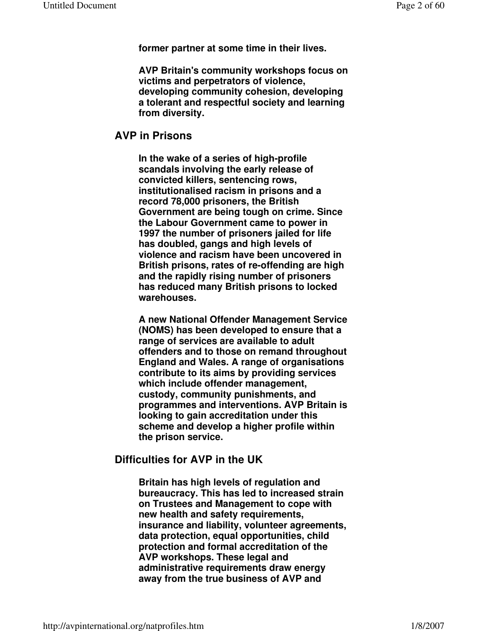**former partner at some time in their lives.** 

**AVP Britain's community workshops focus on victims and perpetrators of violence, developing community cohesion, developing a tolerant and respectful society and learning from diversity.** 

## **AVP in Prisons**

**In the wake of a series of high-profile scandals involving the early release of convicted killers, sentencing rows, institutionalised racism in prisons and a record 78,000 prisoners, the British Government are being tough on crime. Since the Labour Government came to power in 1997 the number of prisoners jailed for life has doubled, gangs and high levels of violence and racism have been uncovered in British prisons, rates of re-offending are high and the rapidly rising number of prisoners has reduced many British prisons to locked warehouses.** 

**A new National Offender Management Service (NOMS) has been developed to ensure that a range of services are available to adult offenders and to those on remand throughout England and Wales. A range of organisations contribute to its aims by providing services which include offender management, custody, community punishments, and programmes and interventions. AVP Britain is looking to gain accreditation under this scheme and develop a higher profile within the prison service.** 

## **Difficulties for AVP in the UK**

**Britain has high levels of regulation and bureaucracy. This has led to increased strain on Trustees and Management to cope with new health and safety requirements, insurance and liability, volunteer agreements, data protection, equal opportunities, child protection and formal accreditation of the AVP workshops. These legal and administrative requirements draw energy away from the true business of AVP and**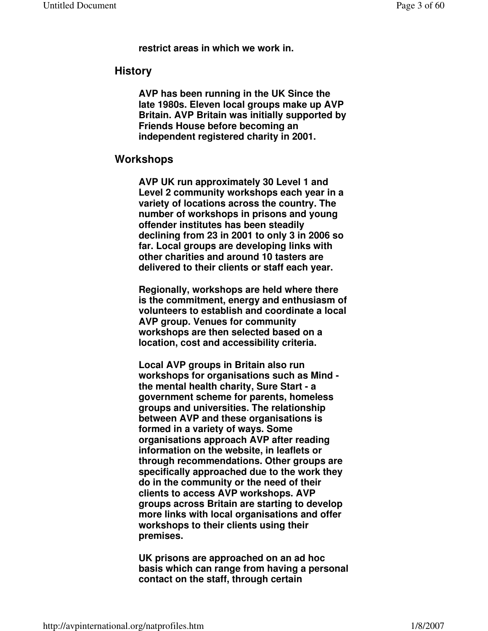**restrict areas in which we work in.**

## **History**

**AVP has been running in the UK Since the late 1980s. Eleven local groups make up AVP Britain. AVP Britain was initially supported by Friends House before becoming an independent registered charity in 2001.**

## **Workshops**

**AVP UK run approximately 30 Level 1 and Level 2 community workshops each year in a variety of locations across the country. The number of workshops in prisons and young offender institutes has been steadily declining from 23 in 2001 to only 3 in 2006 so far. Local groups are developing links with other charities and around 10 tasters are delivered to their clients or staff each year.** 

**Regionally, workshops are held where there is the commitment, energy and enthusiasm of volunteers to establish and coordinate a local AVP group. Venues for community workshops are then selected based on a location, cost and accessibility criteria.** 

**Local AVP groups in Britain also run workshops for organisations such as Mind the mental health charity, Sure Start - a government scheme for parents, homeless groups and universities. The relationship between AVP and these organisations is formed in a variety of ways. Some organisations approach AVP after reading information on the website, in leaflets or through recommendations. Other groups are specifically approached due to the work they do in the community or the need of their clients to access AVP workshops. AVP groups across Britain are starting to develop more links with local organisations and offer workshops to their clients using their premises.**

**UK prisons are approached on an ad hoc basis which can range from having a personal contact on the staff, through certain**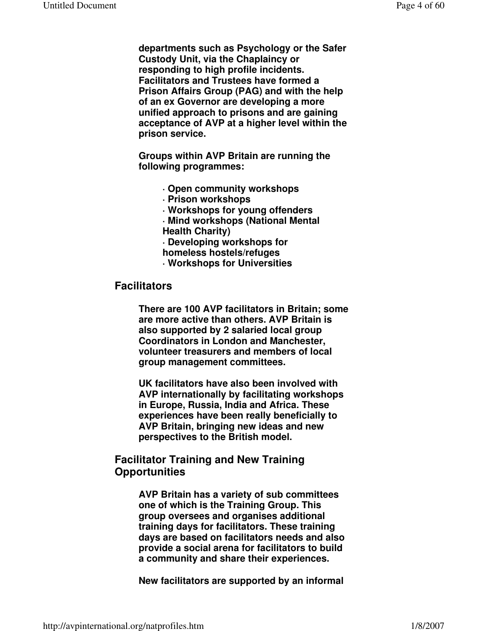**departments such as Psychology or the Safer Custody Unit, via the Chaplaincy or responding to high profile incidents. Facilitators and Trustees have formed a Prison Affairs Group (PAG) and with the help of an ex Governor are developing a more unified approach to prisons and are gaining acceptance of AVP at a higher level within the prison service.**

**Groups within AVP Britain are running the following programmes:** 

- **· Open community workshops**
- **· Prison workshops**
- **· Workshops for young offenders**

**· Mind workshops (National Mental Health Charity)** 

**· Developing workshops for homeless hostels/refuges** 

**· Workshops for Universities**

## **Facilitators**

**There are 100 AVP facilitators in Britain; some are more active than others. AVP Britain is also supported by 2 salaried local group Coordinators in London and Manchester, volunteer treasurers and members of local group management committees.** 

**UK facilitators have also been involved with AVP internationally by facilitating workshops in Europe, Russia, India and Africa. These experiences have been really beneficially to AVP Britain, bringing new ideas and new perspectives to the British model.** 

## **Facilitator Training and New Training Opportunities**

**AVP Britain has a variety of sub committees one of which is the Training Group. This group oversees and organises additional training days for facilitators. These training days are based on facilitators needs and also provide a social arena for facilitators to build a community and share their experiences.** 

**New facilitators are supported by an informal**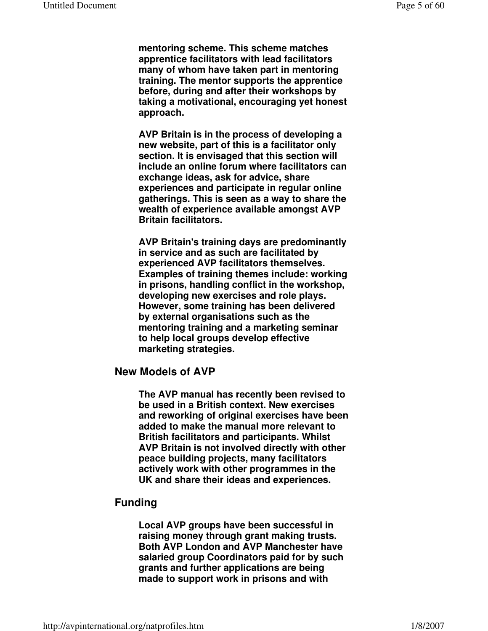**mentoring scheme. This scheme matches apprentice facilitators with lead facilitators many of whom have taken part in mentoring training. The mentor supports the apprentice before, during and after their workshops by taking a motivational, encouraging yet honest approach.** 

**AVP Britain is in the process of developing a new website, part of this is a facilitator only section. It is envisaged that this section will include an online forum where facilitators can exchange ideas, ask for advice, share experiences and participate in regular online gatherings. This is seen as a way to share the wealth of experience available amongst AVP Britain facilitators.** 

**AVP Britain's training days are predominantly in service and as such are facilitated by experienced AVP facilitators themselves. Examples of training themes include: working in prisons, handling conflict in the workshop, developing new exercises and role plays. However, some training has been delivered by external organisations such as the mentoring training and a marketing seminar to help local groups develop effective marketing strategies.** 

## **New Models of AVP**

**The AVP manual has recently been revised to be used in a British context. New exercises and reworking of original exercises have been added to make the manual more relevant to British facilitators and participants. Whilst AVP Britain is not involved directly with other peace building projects, many facilitators actively work with other programmes in the UK and share their ideas and experiences.** 

## **Funding**

**Local AVP groups have been successful in raising money through grant making trusts. Both AVP London and AVP Manchester have salaried group Coordinators paid for by such grants and further applications are being made to support work in prisons and with**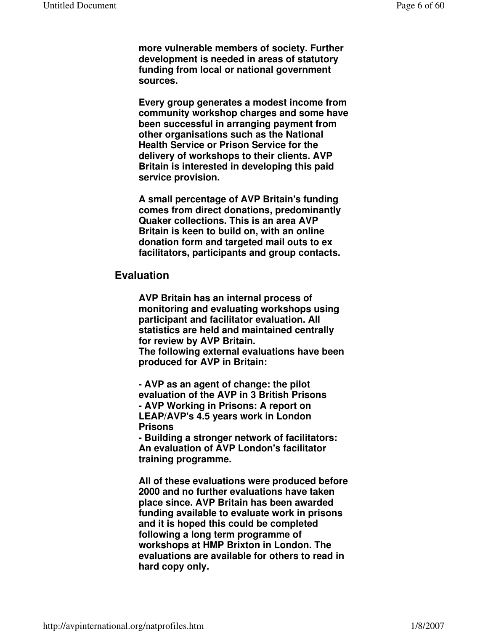**more vulnerable members of society. Further development is needed in areas of statutory funding from local or national government sources.** 

**Every group generates a modest income from community workshop charges and some have been successful in arranging payment from other organisations such as the National Health Service or Prison Service for the delivery of workshops to their clients. AVP Britain is interested in developing this paid service provision.** 

**A small percentage of AVP Britain's funding comes from direct donations, predominantly Quaker collections. This is an area AVP Britain is keen to build on, with an online donation form and targeted mail outs to ex facilitators, participants and group contacts.** 

#### **Evaluation**

**AVP Britain has an internal process of monitoring and evaluating workshops using participant and facilitator evaluation. All statistics are held and maintained centrally for review by AVP Britain. The following external evaluations have been produced for AVP in Britain:** 

**- AVP as an agent of change: the pilot evaluation of the AVP in 3 British Prisons - AVP Working in Prisons: A report on LEAP/AVP's 4.5 years work in London Prisons** 

**- Building a stronger network of facilitators: An evaluation of AVP London's facilitator training programme.** 

**All of these evaluations were produced before 2000 and no further evaluations have taken place since. AVP Britain has been awarded funding available to evaluate work in prisons and it is hoped this could be completed following a long term programme of workshops at HMP Brixton in London. The evaluations are available for others to read in hard copy only.**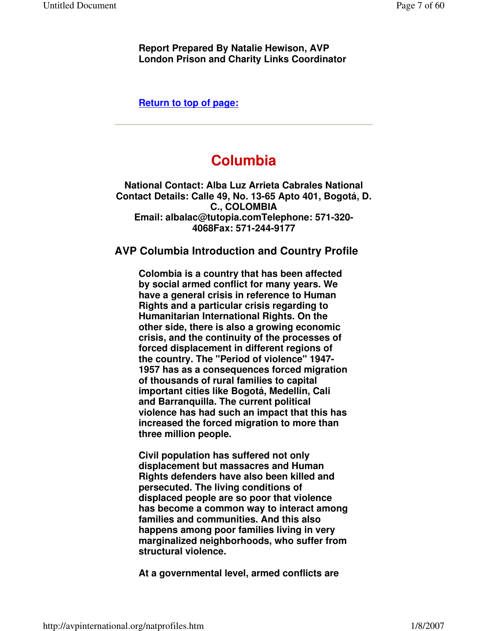**Report Prepared By Natalie Hewison, AVP London Prison and Charity Links Coordinator**

#### **Return to top of page:**

## **Columbia**

**National Contact: Alba Luz Arrieta Cabrales National Contact Details: Calle 49, No. 13-65 Apto 401, Bogotá, D. C., COLOMBIA Email: albalac@tutopia.comTelephone: 571-320- 4068Fax: 571-244-9177**

### **AVP Columbia Introduction and Country Profile**

**Colombia is a country that has been affected by social armed conflict for many years. We have a general crisis in reference to Human Rights and a particular crisis regarding to Humanitarian International Rights. On the other side, there is also a growing economic crisis, and the continuity of the processes of forced displacement in different regions of the country. The "Period of violence" 1947- 1957 has as a consequences forced migration of thousands of rural families to capital important cities like Bogotá, Medellin, Cali and Barranquilla. The current political violence has had such an impact that this has increased the forced migration to more than three million people.** 

**Civil population has suffered not only displacement but massacres and Human Rights defenders have also been killed and persecuted. The living conditions of displaced people are so poor that violence has become a common way to interact among families and communities. And this also happens among poor families living in very marginalized neighborhoods, who suffer from structural violence.**

**At a governmental level, armed conflicts are**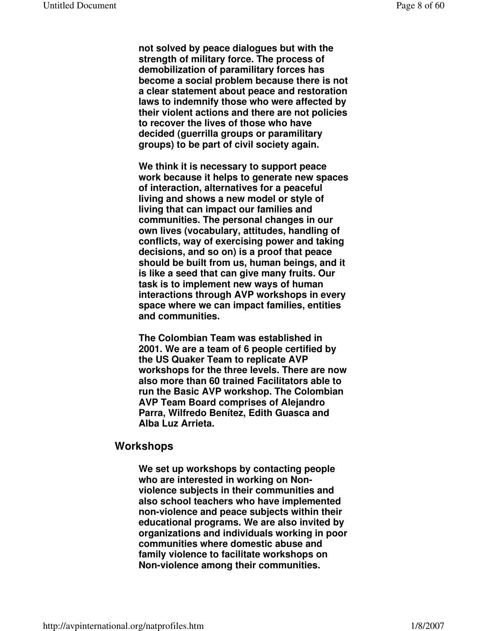**not solved by peace dialogues but with the strength of military force. The process of demobilization of paramilitary forces has become a social problem because there is not a clear statement about peace and restoration laws to indemnify those who were affected by their violent actions and there are not policies to recover the lives of those who have decided (guerrilla groups or paramilitary groups) to be part of civil society again.**

**We think it is necessary to support peace work because it helps to generate new spaces of interaction, alternatives for a peaceful living and shows a new model or style of living that can impact our families and communities. The personal changes in our own lives (vocabulary, attitudes, handling of conflicts, way of exercising power and taking decisions, and so on) is a proof that peace should be built from us, human beings, and it is like a seed that can give many fruits. Our task is to implement new ways of human interactions through AVP workshops in every space where we can impact families, entities and communities.** 

**The Colombian Team was established in 2001. We are a team of 6 people certified by the US Quaker Team to replicate AVP workshops for the three levels. There are now also more than 60 trained Facilitators able to run the Basic AVP workshop. The Colombian AVP Team Board comprises of Alejandro Parra, Wilfredo Benítez, Edith Guasca and Alba Luz Arrieta.**

### **Workshops**

**We set up workshops by contacting people who are interested in working on Nonviolence subjects in their communities and also school teachers who have implemented non-violence and peace subjects within their educational programs. We are also invited by organizations and individuals working in poor communities where domestic abuse and family violence to facilitate workshops on Non-violence among their communities.**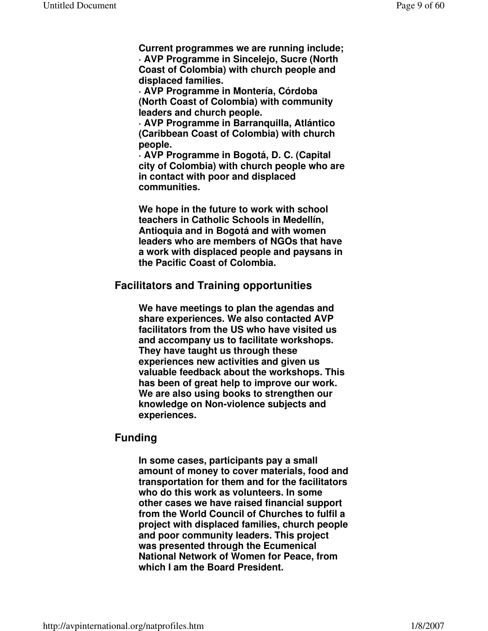**Current programmes we are running include; · AVP Programme in Sincelejo, Sucre (North Coast of Colombia) with church people and displaced families.** 

**· AVP Programme in Montería, Córdoba (North Coast of Colombia) with community leaders and church people.** 

**· AVP Programme in Barranquilla, Atlántico (Caribbean Coast of Colombia) with church people.** 

**· AVP Programme in Bogotá, D. C. (Capital city of Colombia) with church people who are in contact with poor and displaced communities.**

**We hope in the future to work with school teachers in Catholic Schools in Medellín, Antioquia and in Bogotá and with women leaders who are members of NGOs that have a work with displaced people and paysans in the Pacific Coast of Colombia.**

## **Facilitators and Training opportunities**

**We have meetings to plan the agendas and share experiences. We also contacted AVP facilitators from the US who have visited us and accompany us to facilitate workshops. They have taught us through these experiences new activities and given us valuable feedback about the workshops. This has been of great help to improve our work. We are also using books to strengthen our knowledge on Non-violence subjects and experiences.** 

## **Funding**

**In some cases, participants pay a small amount of money to cover materials, food and transportation for them and for the facilitators who do this work as volunteers. In some other cases we have raised financial support from the World Council of Churches to fulfil a project with displaced families, church people and poor community leaders. This project was presented through the Ecumenical National Network of Women for Peace, from which I am the Board President.**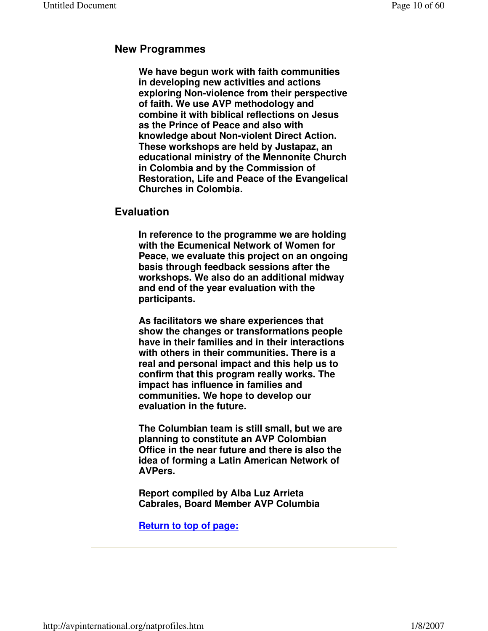## **New Programmes**

**We have begun work with faith communities in developing new activities and actions exploring Non-violence from their perspective of faith. We use AVP methodology and combine it with biblical reflections on Jesus as the Prince of Peace and also with knowledge about Non-violent Direct Action. These workshops are held by Justapaz, an educational ministry of the Mennonite Church in Colombia and by the Commission of Restoration, Life and Peace of the Evangelical Churches in Colombia.**

## **Evaluation**

**In reference to the programme we are holding with the Ecumenical Network of Women for Peace, we evaluate this project on an ongoing basis through feedback sessions after the workshops. We also do an additional midway and end of the year evaluation with the participants.** 

**As facilitators we share experiences that show the changes or transformations people have in their families and in their interactions with others in their communities. There is a real and personal impact and this help us to confirm that this program really works. The impact has influence in families and communities. We hope to develop our evaluation in the future.**

**The Columbian team is still small, but we are planning to constitute an AVP Colombian Office in the near future and there is also the idea of forming a Latin American Network of AVPers.** 

**Report compiled by Alba Luz Arrieta Cabrales, Board Member AVP Columbia**

**Return to top of page:**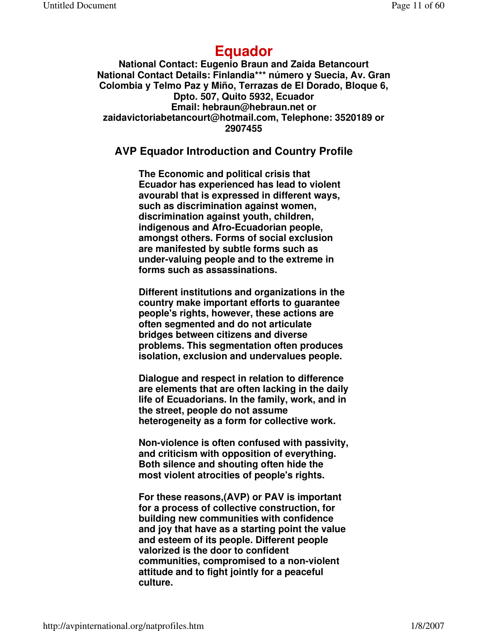## **Equador**

**National Contact: Eugenio Braun and Zaida Betancourt National Contact Details: Finlandia\*\*\* número y Suecia, Av. Gran Colombia y Telmo Paz y Miño, Terrazas de El Dorado, Bloque 6, Dpto. 507, Quito 5932, Ecuador Email: hebraun@hebraun.net or zaidavictoriabetancourt@hotmail.com, Telephone: 3520189 or 2907455**

## **AVP Equador Introduction and Country Profile**

**The Economic and political crisis that Ecuador has experienced has lead to violent avourabl that is expressed in different ways, such as discrimination against women, discrimination against youth, children, indigenous and Afro-Ecuadorian people, amongst others. Forms of social exclusion are manifested by subtle forms such as under-valuing people and to the extreme in forms such as assassinations.**

**Different institutions and organizations in the country make important efforts to guarantee people's rights, however, these actions are often segmented and do not articulate bridges between citizens and diverse problems. This segmentation often produces isolation, exclusion and undervalues people.**

**Dialogue and respect in relation to difference are elements that are often lacking in the daily life of Ecuadorians. In the family, work, and in the street, people do not assume heterogeneity as a form for collective work.**

**Non-violence is often confused with passivity, and criticism with opposition of everything. Both silence and shouting often hide the most violent atrocities of people's rights.**

**For these reasons,(AVP) or PAV is important for a process of collective construction, for building new communities with confidence and joy that have as a starting point the value and esteem of its people. Different people valorized is the door to confident communities, compromised to a non-violent attitude and to fight jointly for a peaceful culture.**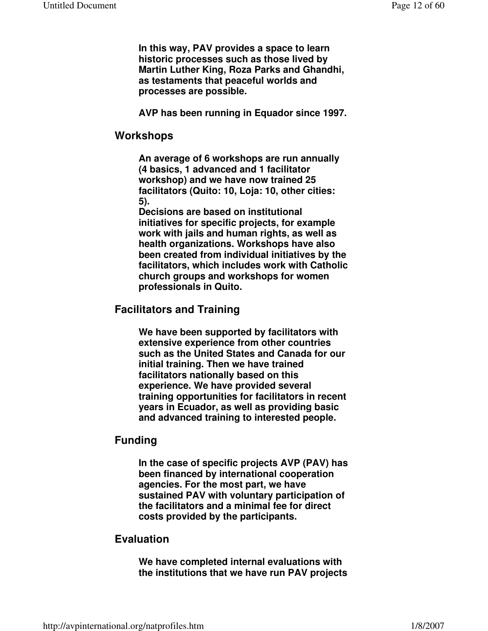**In this way, PAV provides a space to learn historic processes such as those lived by Martin Luther King, Roza Parks and Ghandhi, as testaments that peaceful worlds and processes are possible.**

**AVP has been running in Equador since 1997.** 

## **Workshops**

**An average of 6 workshops are run annually (4 basics, 1 advanced and 1 facilitator workshop) and we have now trained 25 facilitators (Quito: 10, Loja: 10, other cities: 5).** 

**Decisions are based on institutional initiatives for specific projects, for example work with jails and human rights, as well as health organizations. Workshops have also been created from individual initiatives by the facilitators, which includes work with Catholic church groups and workshops for women professionals in Quito.**

## **Facilitators and Training**

**We have been supported by facilitators with extensive experience from other countries such as the United States and Canada for our initial training. Then we have trained facilitators nationally based on this experience. We have provided several training opportunities for facilitators in recent years in Ecuador, as well as providing basic and advanced training to interested people.**

## **Funding**

**In the case of specific projects AVP (PAV) has been financed by international cooperation agencies. For the most part, we have sustained PAV with voluntary participation of the facilitators and a minimal fee for direct costs provided by the participants.**

### **Evaluation**

**We have completed internal evaluations with the institutions that we have run PAV projects**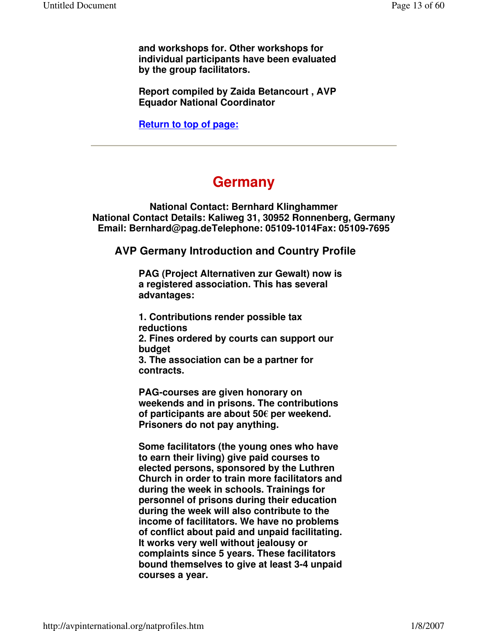**and workshops for. Other workshops for individual participants have been evaluated by the group facilitators.**

**Report compiled by Zaida Betancourt , AVP Equador National Coordinator** 

**Return to top of page:**

## **Germany**

**National Contact: Bernhard Klinghammer National Contact Details: Kaliweg 31, 30952 Ronnenberg, Germany Email: Bernhard@pag.deTelephone: 05109-1014Fax: 05109-7695**

**AVP Germany Introduction and Country Profile**

**PAG (Project Alternativen zur Gewalt) now is a registered association. This has several advantages:** 

**1. Contributions render possible tax reductions 2. Fines ordered by courts can support our budget 3. The association can be a partner for contracts.** 

**PAG-courses are given honorary on weekends and in prisons. The contributions of participants are about 50**€ **per weekend. Prisoners do not pay anything.**

**Some facilitators (the young ones who have to earn their living) give paid courses to elected persons, sponsored by the Luthren Church in order to train more facilitators and during the week in schools. Trainings for personnel of prisons during their education during the week will also contribute to the income of facilitators. We have no problems of conflict about paid and unpaid facilitating. It works very well without jealousy or complaints since 5 years. These facilitators bound themselves to give at least 3-4 unpaid courses a year.**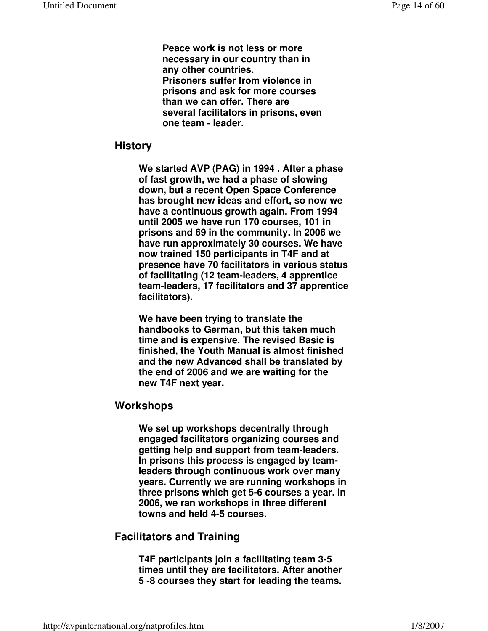**Peace work is not less or more necessary in our country than in any other countries. Prisoners suffer from violence in prisons and ask for more courses than we can offer. There are several facilitators in prisons, even one team - leader.** 

## **History**

**We started AVP (PAG) in 1994 . After a phase of fast growth, we had a phase of slowing down, but a recent Open Space Conference has brought new ideas and effort, so now we have a continuous growth again. From 1994 until 2005 we have run 170 courses, 101 in prisons and 69 in the community. In 2006 we have run approximately 30 courses. We have now trained 150 participants in T4F and at presence have 70 facilitators in various status of facilitating (12 team-leaders, 4 apprentice team-leaders, 17 facilitators and 37 apprentice facilitators).** 

**We have been trying to translate the handbooks to German, but this taken much time and is expensive. The revised Basic is finished, the Youth Manual is almost finished and the new Advanced shall be translated by the end of 2006 and we are waiting for the new T4F next year.**

### **Workshops**

**We set up workshops decentrally through engaged facilitators organizing courses and getting help and support from team-leaders. In prisons this process is engaged by teamleaders through continuous work over many years. Currently we are running workshops in three prisons which get 5-6 courses a year. In 2006, we ran workshops in three different towns and held 4-5 courses.**

## **Facilitators and Training**

**T4F participants join a facilitating team 3-5 times until they are facilitators. After another 5 -8 courses they start for leading the teams.**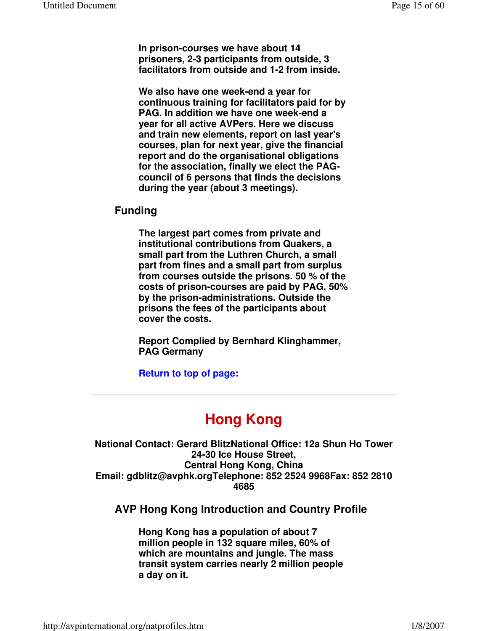**In prison-courses we have about 14 prisoners, 2-3 participants from outside, 3 facilitators from outside and 1-2 from inside.** 

**We also have one week-end a year for continuous training for facilitators paid for by PAG. In addition we have one week-end a year for all active AVPers. Here we discuss and train new elements, report on last year's courses, plan for next year, give the financial report and do the organisational obligations for the association, finally we elect the PAGcouncil of 6 persons that finds the decisions during the year (about 3 meetings).**

## **Funding**

**The largest part comes from private and institutional contributions from Quakers, a small part from the Luthren Church, a small part from fines and a small part from surplus from courses outside the prisons. 50 % of the costs of prison-courses are paid by PAG, 50% by the prison-administrations. Outside the prisons the fees of the participants about cover the costs.**

**Report Complied by Bernhard Klinghammer, PAG Germany** 

**Return to top of page:**

## **Hong Kong**

**National Contact: Gerard BlitzNational Office: 12a Shun Ho Tower 24-30 Ice House Street, Central Hong Kong, China Email: gdblitz@avphk.orgTelephone: 852 2524 9968Fax: 852 2810 4685**

**AVP Hong Kong Introduction and Country Profile**

**Hong Kong has a population of about 7 million people in 132 square miles, 60% of which are mountains and jungle. The mass transit system carries nearly 2 million people a day on it.**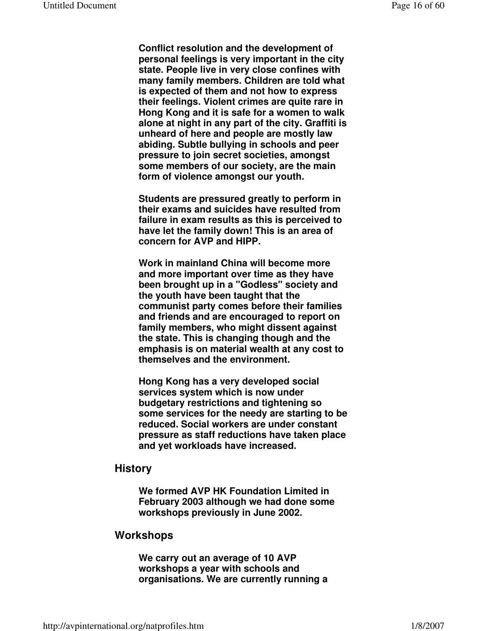**Conflict resolution and the development of personal feelings is very important in the city state. People live in very close confines with many family members. Children are told what is expected of them and not how to express their feelings. Violent crimes are quite rare in Hong Kong and it is safe for a women to walk alone at night in any part of the city. Graffiti is unheard of here and people are mostly law abiding. Subtle bullying in schools and peer pressure to join secret societies, amongst some members of our society, are the main form of violence amongst our youth.**

**Students are pressured greatly to perform in their exams and suicides have resulted from failure in exam results as this is perceived to have let the family down! This is an area of concern for AVP and HIPP.**

**Work in mainland China will become more and more important over time as they have been brought up in a "Godless" society and the youth have been taught that the communist party comes before their families and friends and are encouraged to report on family members, who might dissent against the state. This is changing though and the emphasis is on material wealth at any cost to themselves and the environment.**

**Hong Kong has a very developed social services system which is now under budgetary restrictions and tightening so some services for the needy are starting to be reduced. Social workers are under constant pressure as staff reductions have taken place and yet workloads have increased.**

#### **History**

**We formed AVP HK Foundation Limited in February 2003 although we had done some workshops previously in June 2002.**

## **Workshops**

**We carry out an average of 10 AVP workshops a year with schools and organisations. We are currently running a**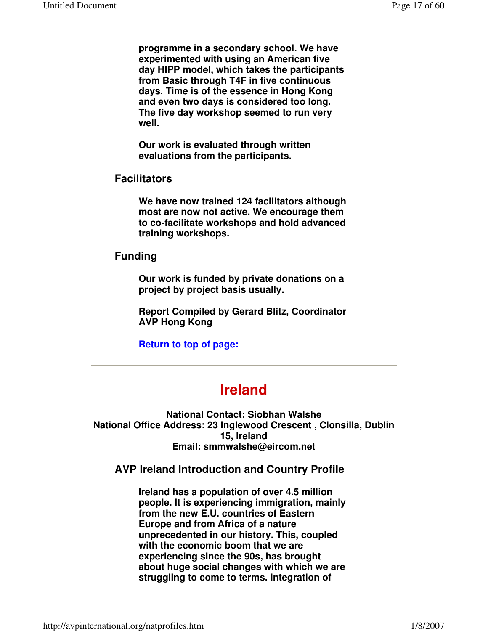**programme in a secondary school. We have experimented with using an American five day HIPP model, which takes the participants from Basic through T4F in five continuous days. Time is of the essence in Hong Kong and even two days is considered too long. The five day workshop seemed to run very well.** 

**Our work is evaluated through written evaluations from the participants.**

## **Facilitators**

**We have now trained 124 facilitators although most are now not active. We encourage them to co-facilitate workshops and hold advanced training workshops.**

### **Funding**

**Our work is funded by private donations on a project by project basis usually.**

**Report Compiled by Gerard Blitz, Coordinator AVP Hong Kong**

**Return to top of page:**

## **Ireland**

**National Contact: Siobhan Walshe National Office Address: 23 Inglewood Crescent , Clonsilla, Dublin 15, Ireland Email: smmwalshe@eircom.net**

## **AVP Ireland Introduction and Country Profile**

**Ireland has a population of over 4.5 million people. It is experiencing immigration, mainly from the new E.U. countries of Eastern Europe and from Africa of a nature unprecedented in our history. This, coupled with the economic boom that we are experiencing since the 90s, has brought about huge social changes with which we are struggling to come to terms. Integration of**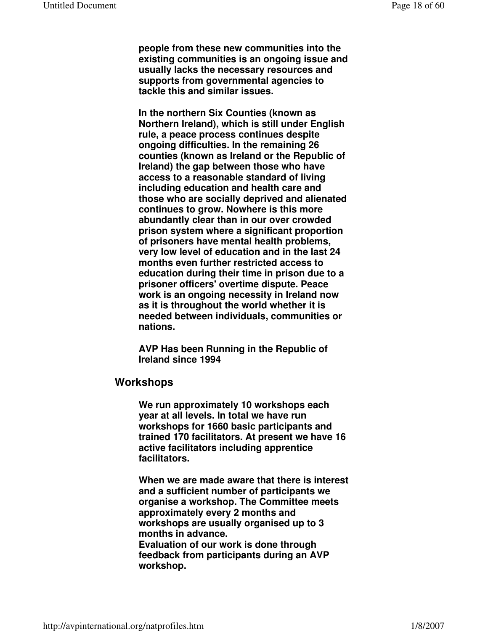**people from these new communities into the existing communities is an ongoing issue and usually lacks the necessary resources and supports from governmental agencies to tackle this and similar issues.**

**In the northern Six Counties (known as Northern Ireland), which is still under English rule, a peace process continues despite ongoing difficulties. In the remaining 26 counties (known as Ireland or the Republic of Ireland) the gap between those who have access to a reasonable standard of living including education and health care and those who are socially deprived and alienated continues to grow. Nowhere is this more abundantly clear than in our over crowded prison system where a significant proportion of prisoners have mental health problems, very low level of education and in the last 24 months even further restricted access to education during their time in prison due to a prisoner officers' overtime dispute. Peace work is an ongoing necessity in Ireland now as it is throughout the world whether it is needed between individuals, communities or nations.**

**AVP Has been Running in the Republic of Ireland since 1994**

### **Workshops**

**We run approximately 10 workshops each year at all levels. In total we have run workshops for 1660 basic participants and trained 170 facilitators. At present we have 16 active facilitators including apprentice facilitators.**

**When we are made aware that there is interest and a sufficient number of participants we organise a workshop. The Committee meets approximately every 2 months and workshops are usually organised up to 3 months in advance. Evaluation of our work is done through feedback from participants during an AVP workshop.**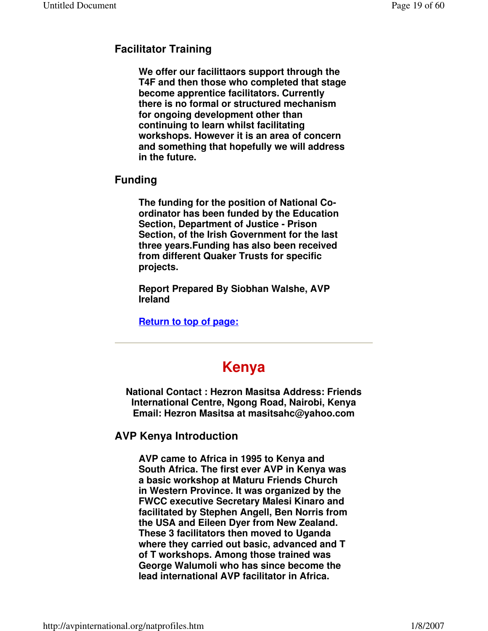## **Facilitator Training**

**We offer our facilittaors support through the T4F and then those who completed that stage become apprentice facilitators. Currently there is no formal or structured mechanism for ongoing development other than continuing to learn whilst facilitating workshops. However it is an area of concern and something that hopefully we will address in the future.** 

## **Funding**

**The funding for the position of National Coordinator has been funded by the Education Section, Department of Justice - Prison Section, of the Irish Government for the last three years.Funding has also been received from different Quaker Trusts for specific projects.**

**Report Prepared By Siobhan Walshe, AVP Ireland**

**Return to top of page:**

## **Kenya**

**National Contact : Hezron Masitsa Address: Friends International Centre, Ngong Road, Nairobi, Kenya Email: Hezron Masitsa at masitsahc@yahoo.com**

**AVP Kenya Introduction** 

**AVP came to Africa in 1995 to Kenya and South Africa. The first ever AVP in Kenya was a basic workshop at Maturu Friends Church in Western Province. It was organized by the FWCC executive Secretary Malesi Kinaro and facilitated by Stephen Angell, Ben Norris from the USA and Eileen Dyer from New Zealand. These 3 facilitators then moved to Uganda where they carried out basic, advanced and T of T workshops. Among those trained was George Walumoli who has since become the lead international AVP facilitator in Africa.**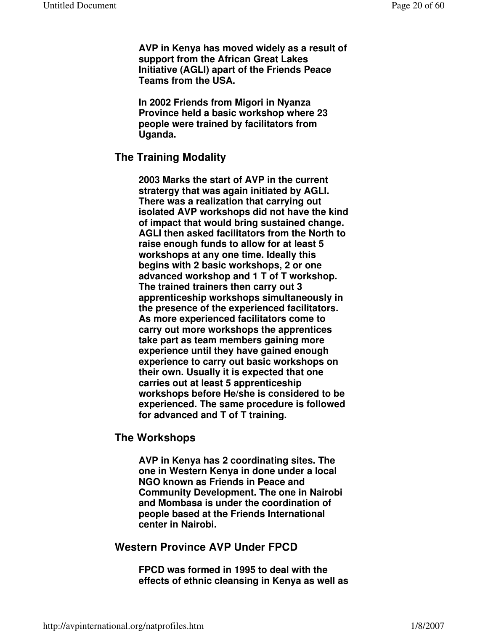**AVP in Kenya has moved widely as a result of support from the African Great Lakes Initiative (AGLI) apart of the Friends Peace Teams from the USA.** 

**In 2002 Friends from Migori in Nyanza Province held a basic workshop where 23 people were trained by facilitators from Uganda.**

## **The Training Modality**

**2003 Marks the start of AVP in the current stratergy that was again initiated by AGLI. There was a realization that carrying out isolated AVP workshops did not have the kind of impact that would bring sustained change. AGLI then asked facilitators from the North to raise enough funds to allow for at least 5 workshops at any one time. Ideally this begins with 2 basic workshops, 2 or one advanced workshop and 1 T of T workshop. The trained trainers then carry out 3 apprenticeship workshops simultaneously in the presence of the experienced facilitators. As more experienced facilitators come to carry out more workshops the apprentices take part as team members gaining more experience until they have gained enough experience to carry out basic workshops on their own. Usually it is expected that one carries out at least 5 apprenticeship workshops before He/she is considered to be experienced. The same procedure is followed for advanced and T of T training.**

**The Workshops**

**AVP in Kenya has 2 coordinating sites. The one in Western Kenya in done under a local NGO known as Friends in Peace and Community Development. The one in Nairobi and Mombasa is under the coordination of people based at the Friends International center in Nairobi.**

## **Western Province AVP Under FPCD**

**FPCD was formed in 1995 to deal with the effects of ethnic cleansing in Kenya as well as**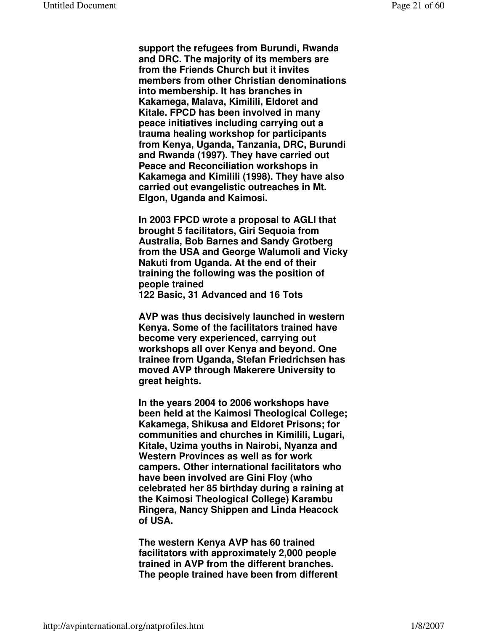**support the refugees from Burundi, Rwanda and DRC. The majority of its members are from the Friends Church but it invites members from other Christian denominations into membership. It has branches in Kakamega, Malava, Kimilili, Eldoret and Kitale. FPCD has been involved in many peace initiatives including carrying out a trauma healing workshop for participants from Kenya, Uganda, Tanzania, DRC, Burundi and Rwanda (1997). They have carried out Peace and Reconciliation workshops in Kakamega and Kimilili (1998). They have also carried out evangelistic outreaches in Mt. Elgon, Uganda and Kaimosi.**

**In 2003 FPCD wrote a proposal to AGLI that brought 5 facilitators, Giri Sequoia from Australia, Bob Barnes and Sandy Grotberg from the USA and George Walumoli and Vicky Nakuti from Uganda. At the end of their training the following was the position of people trained 122 Basic, 31 Advanced and 16 Tots** 

**AVP was thus decisively launched in western Kenya. Some of the facilitators trained have become very experienced, carrying out workshops all over Kenya and beyond. One trainee from Uganda, Stefan Friedrichsen has moved AVP through Makerere University to great heights.**

**In the years 2004 to 2006 workshops have been held at the Kaimosi Theological College; Kakamega, Shikusa and Eldoret Prisons; for communities and churches in Kimilili, Lugari, Kitale, Uzima youths in Nairobi, Nyanza and Western Provinces as well as for work campers. Other international facilitators who have been involved are Gini Floy (who celebrated her 85 birthday during a raining at the Kaimosi Theological College) Karambu Ringera, Nancy Shippen and Linda Heacock of USA.**

**The western Kenya AVP has 60 trained facilitators with approximately 2,000 people trained in AVP from the different branches. The people trained have been from different**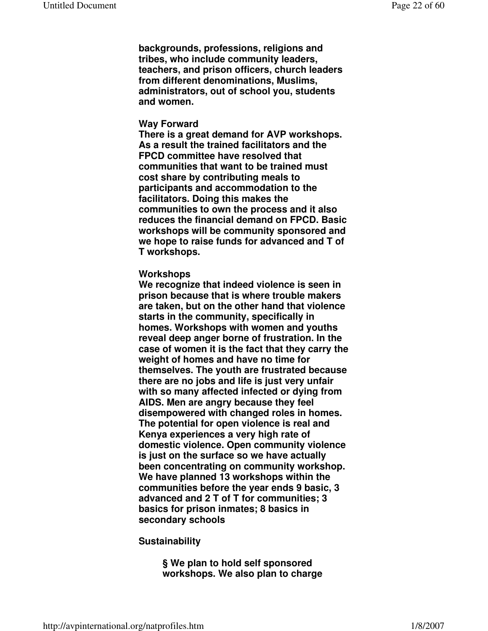**backgrounds, professions, religions and tribes, who include community leaders, teachers, and prison officers, church leaders from different denominations, Muslims, administrators, out of school you, students and women.** 

#### **Way Forward**

**There is a great demand for AVP workshops. As a result the trained facilitators and the FPCD committee have resolved that communities that want to be trained must cost share by contributing meals to participants and accommodation to the facilitators. Doing this makes the communities to own the process and it also reduces the financial demand on FPCD. Basic workshops will be community sponsored and we hope to raise funds for advanced and T of T workshops.**

#### **Workshops**

**We recognize that indeed violence is seen in prison because that is where trouble makers are taken, but on the other hand that violence starts in the community, specifically in homes. Workshops with women and youths reveal deep anger borne of frustration. In the case of women it is the fact that they carry the weight of homes and have no time for themselves. The youth are frustrated because there are no jobs and life is just very unfair with so many affected infected or dying from AIDS. Men are angry because they feel disempowered with changed roles in homes. The potential for open violence is real and Kenya experiences a very high rate of domestic violence. Open community violence is just on the surface so we have actually been concentrating on community workshop. We have planned 13 workshops within the communities before the year ends 9 basic, 3 advanced and 2 T of T for communities; 3 basics for prison inmates; 8 basics in secondary schools** 

#### **Sustainability**

**§ We plan to hold self sponsored workshops. We also plan to charge**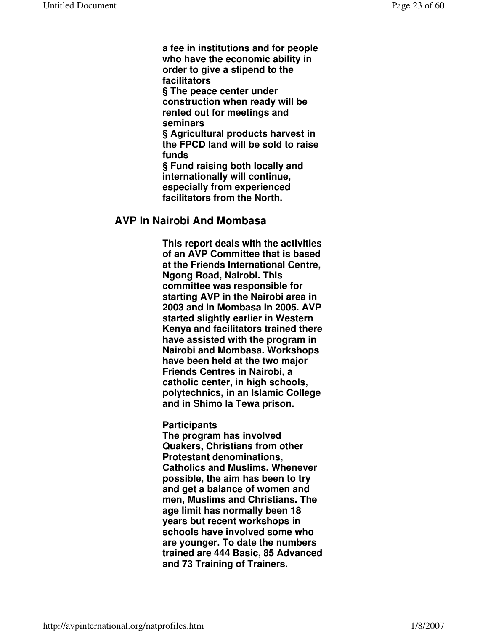**a fee in institutions and for people who have the economic ability in order to give a stipend to the facilitators § The peace center under construction when ready will be rented out for meetings and seminars § Agricultural products harvest in the FPCD land will be sold to raise funds § Fund raising both locally and** 

**internationally will continue, especially from experienced facilitators from the North.**

## **AVP In Nairobi And Mombasa**

**This report deals with the activities of an AVP Committee that is based at the Friends International Centre, Ngong Road, Nairobi. This committee was responsible for starting AVP in the Nairobi area in 2003 and in Mombasa in 2005. AVP started slightly earlier in Western Kenya and facilitators trained there have assisted with the program in Nairobi and Mombasa. Workshops have been held at the two major Friends Centres in Nairobi, a catholic center, in high schools, polytechnics, in an Islamic College and in Shimo la Tewa prison.** 

## **Participants**

**The program has involved Quakers, Christians from other Protestant denominations, Catholics and Muslims. Whenever possible, the aim has been to try and get a balance of women and men, Muslims and Christians. The age limit has normally been 18 years but recent workshops in schools have involved some who are younger. To date the numbers trained are 444 Basic, 85 Advanced and 73 Training of Trainers.**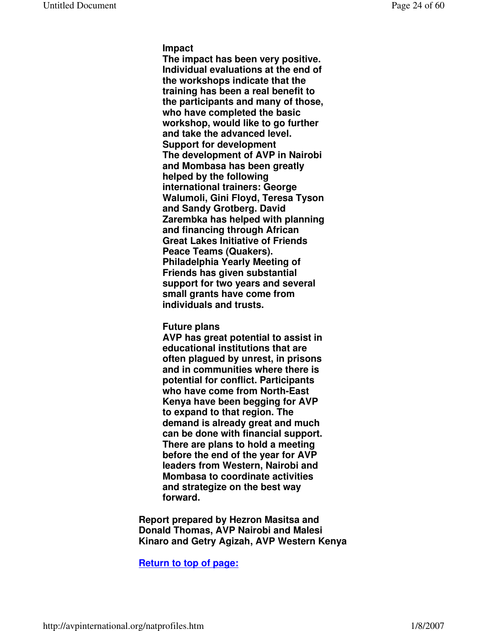**Impact**

**The impact has been very positive. Individual evaluations at the end of the workshops indicate that the training has been a real benefit to the participants and many of those, who have completed the basic workshop, would like to go further and take the advanced level. Support for development The development of AVP in Nairobi and Mombasa has been greatly helped by the following international trainers: George Walumoli, Gini Floyd, Teresa Tyson and Sandy Grotberg. David Zarembka has helped with planning and financing through African Great Lakes Initiative of Friends Peace Teams (Quakers). Philadelphia Yearly Meeting of Friends has given substantial support for two years and several small grants have come from individuals and trusts.**

**Future plans** 

**AVP has great potential to assist in educational institutions that are often plagued by unrest, in prisons and in communities where there is potential for conflict. Participants who have come from North-East Kenya have been begging for AVP to expand to that region. The demand is already great and much can be done with financial support. There are plans to hold a meeting before the end of the year for AVP leaders from Western, Nairobi and Mombasa to coordinate activities and strategize on the best way forward.**

**Report prepared by Hezron Masitsa and Donald Thomas, AVP Nairobi and Malesi Kinaro and Getry Agizah, AVP Western Kenya**

**Return to top of page:**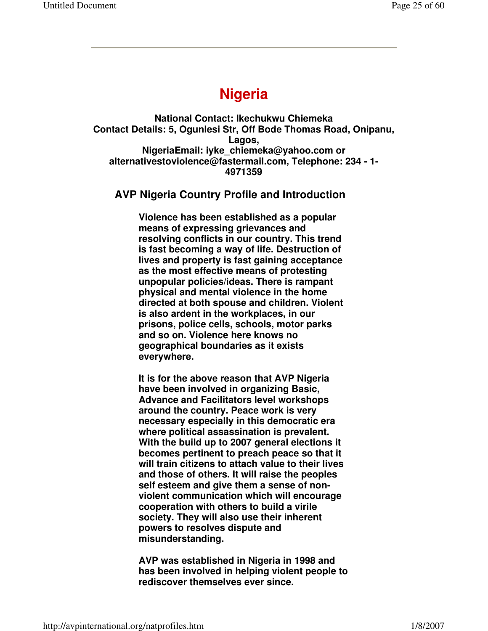## **Nigeria**

**National Contact: Ikechukwu Chiemeka Contact Details: 5, Ogunlesi Str, Off Bode Thomas Road, Onipanu, Lagos, NigeriaEmail: iyke\_chiemeka@yahoo.com or alternativestoviolence@fastermail.com, Telephone: 234 - 1- 4971359**

## **AVP Nigeria Country Profile and Introduction**

**Violence has been established as a popular means of expressing grievances and resolving conflicts in our country. This trend is fast becoming a way of life. Destruction of lives and property is fast gaining acceptance as the most effective means of protesting unpopular policies/ideas. There is rampant physical and mental violence in the home directed at both spouse and children. Violent is also ardent in the workplaces, in our prisons, police cells, schools, motor parks and so on. Violence here knows no geographical boundaries as it exists everywhere.**

**It is for the above reason that AVP Nigeria have been involved in organizing Basic, Advance and Facilitators level workshops around the country. Peace work is very necessary especially in this democratic era where political assassination is prevalent. With the build up to 2007 general elections it becomes pertinent to preach peace so that it will train citizens to attach value to their lives and those of others. It will raise the peoples self esteem and give them a sense of nonviolent communication which will encourage cooperation with others to build a virile society. They will also use their inherent powers to resolves dispute and misunderstanding.**

**AVP was established in Nigeria in 1998 and has been involved in helping violent people to rediscover themselves ever since.**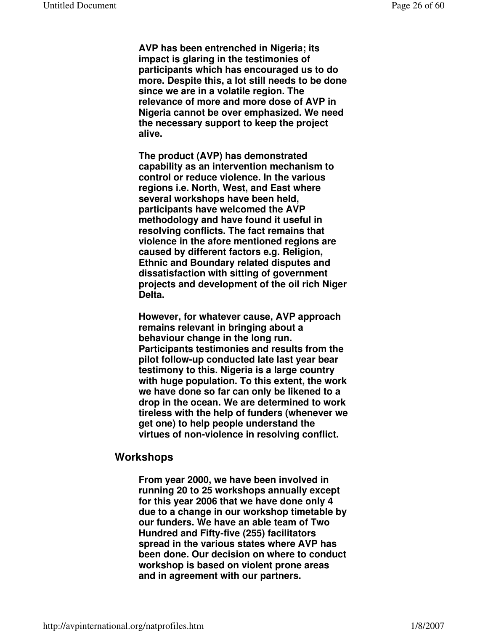**AVP has been entrenched in Nigeria; its impact is glaring in the testimonies of participants which has encouraged us to do more. Despite this, a lot still needs to be done since we are in a volatile region. The relevance of more and more dose of AVP in Nigeria cannot be over emphasized. We need the necessary support to keep the project alive.**

**The product (AVP) has demonstrated capability as an intervention mechanism to control or reduce violence. In the various regions i.e. North, West, and East where several workshops have been held, participants have welcomed the AVP methodology and have found it useful in resolving conflicts. The fact remains that violence in the afore mentioned regions are caused by different factors e.g. Religion, Ethnic and Boundary related disputes and dissatisfaction with sitting of government projects and development of the oil rich Niger Delta.**

**However, for whatever cause, AVP approach remains relevant in bringing about a behaviour change in the long run. Participants testimonies and results from the pilot follow-up conducted late last year bear testimony to this. Nigeria is a large country with huge population. To this extent, the work we have done so far can only be likened to a drop in the ocean. We are determined to work tireless with the help of funders (whenever we get one) to help people understand the virtues of non-violence in resolving conflict.**

### **Workshops**

**From year 2000, we have been involved in running 20 to 25 workshops annually except for this year 2006 that we have done only 4 due to a change in our workshop timetable by our funders. We have an able team of Two Hundred and Fifty-five (255) facilitators spread in the various states where AVP has been done. Our decision on where to conduct workshop is based on violent prone areas and in agreement with our partners.**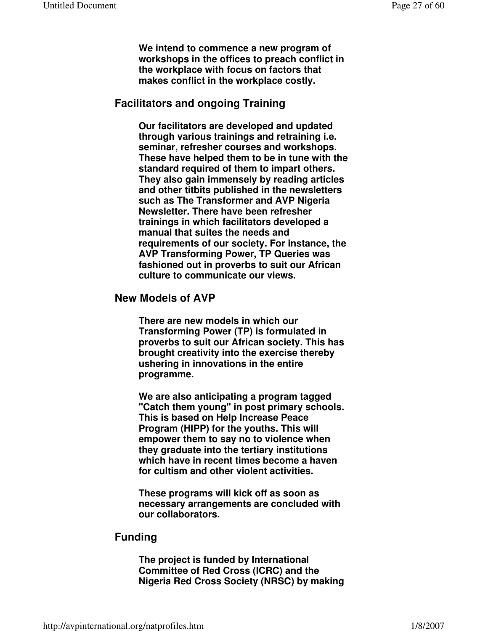**We intend to commence a new program of workshops in the offices to preach conflict in the workplace with focus on factors that makes conflict in the workplace costly.**

## **Facilitators and ongoing Training**

**Our facilitators are developed and updated through various trainings and retraining i.e. seminar, refresher courses and workshops. These have helped them to be in tune with the standard required of them to impart others. They also gain immensely by reading articles and other titbits published in the newsletters such as The Transformer and AVP Nigeria Newsletter. There have been refresher trainings in which facilitators developed a manual that suites the needs and requirements of our society. For instance, the AVP Transforming Power, TP Queries was fashioned out in proverbs to suit our African culture to communicate our views.** 

### **New Models of AVP**

**There are new models in which our Transforming Power (TP) is formulated in proverbs to suit our African society. This has brought creativity into the exercise thereby ushering in innovations in the entire programme.**

**We are also anticipating a program tagged "Catch them young" in post primary schools. This is based on Help Increase Peace Program (HIPP) for the youths. This will empower them to say no to violence when they graduate into the tertiary institutions which have in recent times become a haven for cultism and other violent activities.**

**These programs will kick off as soon as necessary arrangements are concluded with our collaborators.**

## **Funding**

**The project is funded by International Committee of Red Cross (ICRC) and the Nigeria Red Cross Society (NRSC) by making**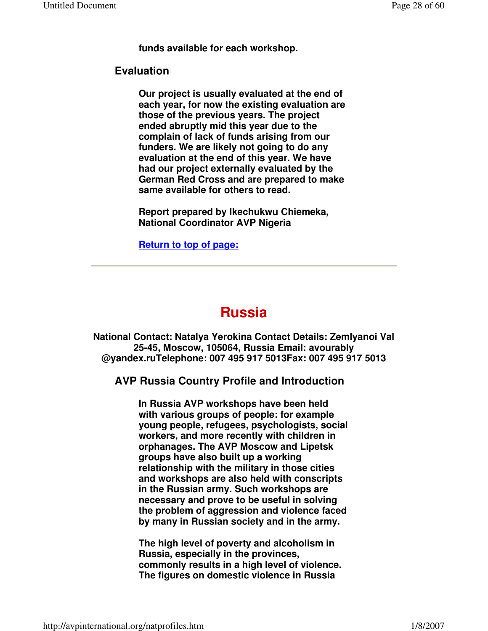**funds available for each workshop.**

## **Evaluation**

**Our project is usually evaluated at the end of each year, for now the existing evaluation are those of the previous years. The project ended abruptly mid this year due to the complain of lack of funds arising from our funders. We are likely not going to do any evaluation at the end of this year. We have had our project externally evaluated by the German Red Cross and are prepared to make same available for others to read.**

**Report prepared by Ikechukwu Chiemeka, National Coordinator AVP Nigeria**

**Return to top of page:**

## **Russia**

**National Contact: Natalya Yerokina Contact Details: Zemlyanoi Val 25-45, Moscow, 105064, Russia Email: avourably @yandex.ruTelephone: 007 495 917 5013Fax: 007 495 917 5013**

**AVP Russia Country Profile and Introduction**

**In Russia AVP workshops have been held with various groups of people: for example young people, refugees, psychologists, social workers, and more recently with children in orphanages. The AVP Moscow and Lipetsk groups have also built up a working relationship with the military in those cities and workshops are also held with conscripts in the Russian army. Such workshops are necessary and prove to be useful in solving the problem of aggression and violence faced by many in Russian society and in the army.** 

**The high level of poverty and alcoholism in Russia, especially in the provinces, commonly results in a high level of violence. The figures on domestic violence in Russia**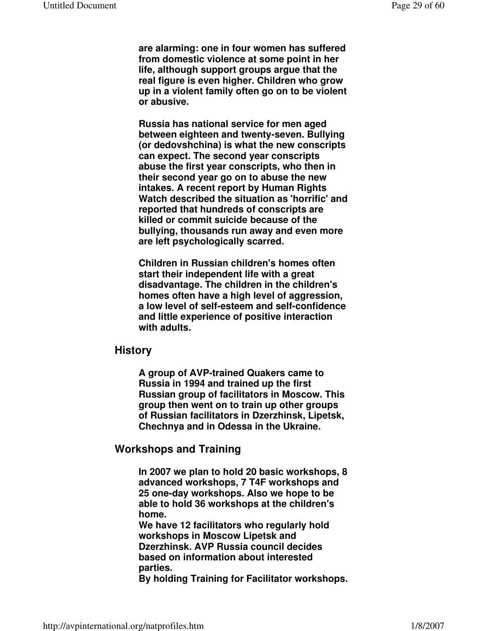**are alarming: one in four women has suffered from domestic violence at some point in her life, although support groups argue that the real figure is even higher. Children who grow up in a violent family often go on to be violent or abusive.**

**Russia has national service for men aged between eighteen and twenty-seven. Bullying (or dedovshchina) is what the new conscripts can expect. The second year conscripts abuse the first year conscripts, who then in their second year go on to abuse the new intakes. A recent report by Human Rights Watch described the situation as 'horrific' and reported that hundreds of conscripts are killed or commit suicide because of the bullying, thousands run away and even more are left psychologically scarred.** 

**Children in Russian children's homes often start their independent life with a great disadvantage. The children in the children's homes often have a high level of aggression, a low level of self-esteem and self-confidence and little experience of positive interaction with adults.**

### **History**

**A group of AVP-trained Quakers came to Russia in 1994 and trained up the first Russian group of facilitators in Moscow. This group then went on to train up other groups of Russian facilitators in Dzerzhinsk, Lipetsk, Chechnya and in Odessa in the Ukraine.**

## **Workshops and Training**

**In 2007 we plan to hold 20 basic workshops, 8 advanced workshops, 7 T4F workshops and 25 one-day workshops. Also we hope to be able to hold 36 workshops at the children's home. We have 12 facilitators who regularly hold** 

**workshops in Moscow Lipetsk and Dzerzhinsk. AVP Russia council decides based on information about interested parties.** 

**By holding Training for Facilitator workshops.**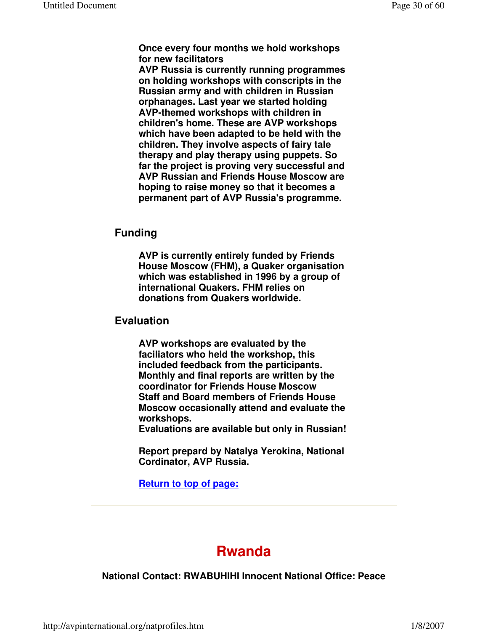**Once every four months we hold workshops for new facilitators** 

**AVP Russia is currently running programmes on holding workshops with conscripts in the Russian army and with children in Russian orphanages. Last year we started holding AVP-themed workshops with children in children's home. These are AVP workshops which have been adapted to be held with the children. They involve aspects of fairy tale therapy and play therapy using puppets. So far the project is proving very successful and AVP Russian and Friends House Moscow are hoping to raise money so that it becomes a permanent part of AVP Russia's programme.**

## **Funding**

**AVP is currently entirely funded by Friends House Moscow (FHM), a Quaker organisation which was established in 1996 by a group of international Quakers. FHM relies on donations from Quakers worldwide.**

## **Evaluation**

**AVP workshops are evaluated by the faciliators who held the workshop, this included feedback from the participants. Monthly and final reports are written by the coordinator for Friends House Moscow Staff and Board members of Friends House Moscow occasionally attend and evaluate the workshops.** 

**Evaluations are available but only in Russian!**

**Report prepard by Natalya Yerokina, National Cordinator, AVP Russia.**

**Return to top of page:**

## **Rwanda**

**National Contact: RWABUHIHI Innocent National Office: Peace**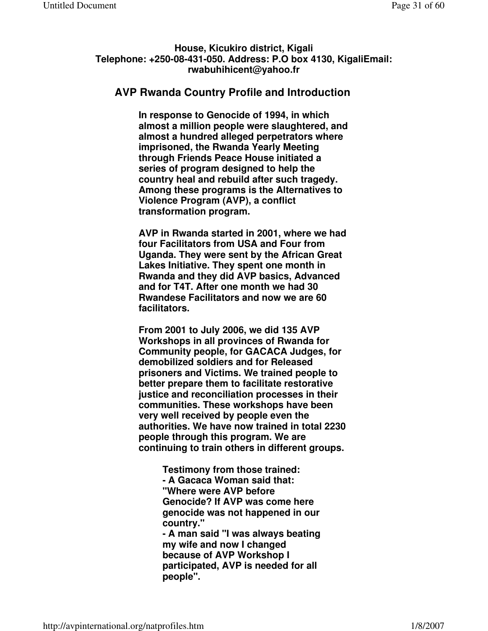## **House, Kicukiro district, Kigali Telephone: +250-08-431-050. Address: P.O box 4130, KigaliEmail: rwabuhihicent@yahoo.fr**

## **AVP Rwanda Country Profile and Introduction**

**In response to Genocide of 1994, in which almost a million people were slaughtered, and almost a hundred alleged perpetrators where imprisoned, the Rwanda Yearly Meeting through Friends Peace House initiated a series of program designed to help the country heal and rebuild after such tragedy. Among these programs is the Alternatives to Violence Program (AVP), a conflict transformation program.** 

**AVP in Rwanda started in 2001, where we had four Facilitators from USA and Four from Uganda. They were sent by the African Great Lakes Initiative. They spent one month in Rwanda and they did AVP basics, Advanced and for T4T. After one month we had 30 Rwandese Facilitators and now we are 60 facilitators.**

**From 2001 to July 2006, we did 135 AVP Workshops in all provinces of Rwanda for Community people, for GACACA Judges, for demobilized soldiers and for Released prisoners and Victims. We trained people to better prepare them to facilitate restorative justice and reconciliation processes in their communities. These workshops have been very well received by people even the authorities. We have now trained in total 2230 people through this program. We are continuing to train others in different groups.**

> **Testimony from those trained: - A Gacaca Woman said that: "Where were AVP before Genocide? If AVP was come here genocide was not happened in our country." - A man said "I was always beating my wife and now I changed because of AVP Workshop I participated, AVP is needed for all people".**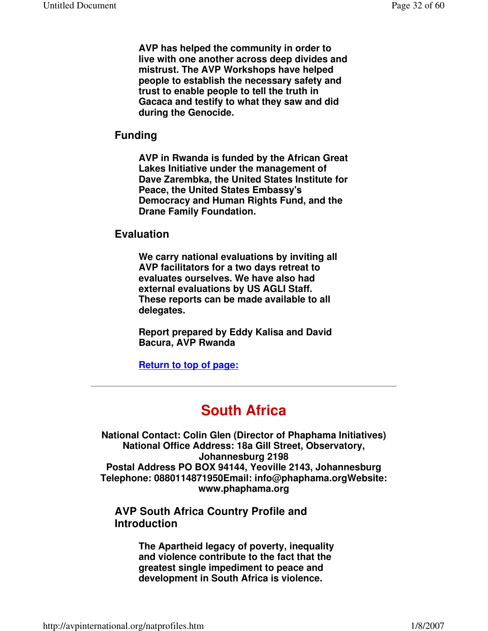**AVP has helped the community in order to live with one another across deep divides and mistrust. The AVP Workshops have helped people to establish the necessary safety and trust to enable people to tell the truth in Gacaca and testify to what they saw and did during the Genocide.**

## **Funding**

**AVP in Rwanda is funded by the African Great Lakes Initiative under the management of Dave Zarembka, the United States Institute for Peace, the United States Embassy's Democracy and Human Rights Fund, and the Drane Family Foundation.** 

#### **Evaluation**

**We carry national evaluations by inviting all AVP facilitators for a two days retreat to evaluates ourselves. We have also had external evaluations by US AGLI Staff. These reports can be made available to all delegates.**

**Report prepared by Eddy Kalisa and David Bacura, AVP Rwanda**

**Return to top of page:**

## **South Africa**

**National Contact: Colin Glen (Director of Phaphama Initiatives) National Office Address: 18a Gill Street, Observatory, Johannesburg 2198 Postal Address PO BOX 94144, Yeoville 2143, Johannesburg Telephone: 0880114871950Email: info@phaphama.orgWebsite: www.phaphama.org**

**AVP South Africa Country Profile and Introduction**

> **The Apartheid legacy of poverty, inequality and violence contribute to the fact that the greatest single impediment to peace and development in South Africa is violence.**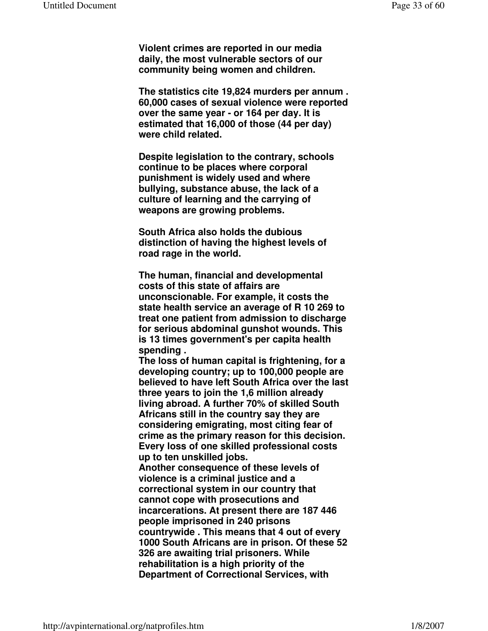**Violent crimes are reported in our media daily, the most vulnerable sectors of our community being women and children.** 

**The statistics cite 19,824 murders per annum . 60,000 cases of sexual violence were reported over the same year - or 164 per day. It is estimated that 16,000 of those (44 per day) were child related.** 

**Despite legislation to the contrary, schools continue to be places where corporal punishment is widely used and where bullying, substance abuse, the lack of a culture of learning and the carrying of weapons are growing problems.**

**South Africa also holds the dubious distinction of having the highest levels of road rage in the world.** 

**The human, financial and developmental costs of this state of affairs are unconscionable. For example, it costs the state health service an average of R 10 269 to treat one patient from admission to discharge for serious abdominal gunshot wounds. This is 13 times government's per capita health spending .** 

**The loss of human capital is frightening, for a developing country; up to 100,000 people are believed to have left South Africa over the last three years to join the 1,6 million already living abroad. A further 70% of skilled South Africans still in the country say they are considering emigrating, most citing fear of crime as the primary reason for this decision. Every loss of one skilled professional costs up to ten unskilled jobs. Another consequence of these levels of violence is a criminal justice and a correctional system in our country that cannot cope with prosecutions and incarcerations. At present there are 187 446 people imprisoned in 240 prisons countrywide . This means that 4 out of every 1000 South Africans are in prison. Of these 52 326 are awaiting trial prisoners. While rehabilitation is a high priority of the Department of Correctional Services, with**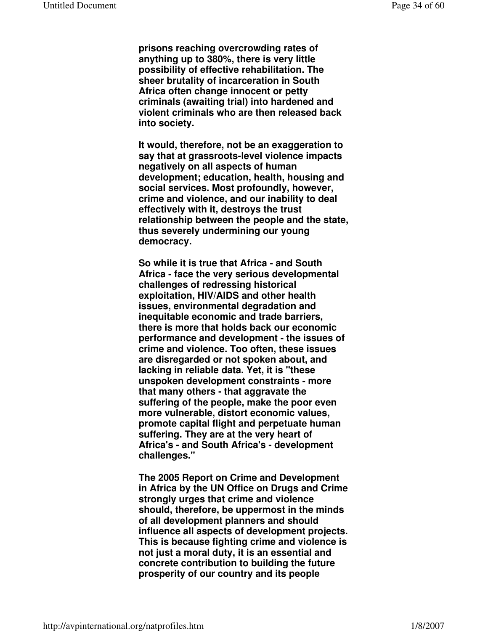**prisons reaching overcrowding rates of anything up to 380%, there is very little possibility of effective rehabilitation. The sheer brutality of incarceration in South Africa often change innocent or petty criminals (awaiting trial) into hardened and violent criminals who are then released back into society.**

**It would, therefore, not be an exaggeration to say that at grassroots-level violence impacts negatively on all aspects of human development; education, health, housing and social services. Most profoundly, however, crime and violence, and our inability to deal effectively with it, destroys the trust relationship between the people and the state, thus severely undermining our young democracy.** 

**So while it is true that Africa - and South Africa - face the very serious developmental challenges of redressing historical exploitation, HIV/AIDS and other health issues, environmental degradation and inequitable economic and trade barriers, there is more that holds back our economic performance and development - the issues of crime and violence. Too often, these issues are disregarded or not spoken about, and lacking in reliable data. Yet, it is "these unspoken development constraints - more that many others - that aggravate the suffering of the people, make the poor even more vulnerable, distort economic values, promote capital flight and perpetuate human suffering. They are at the very heart of Africa's - and South Africa's - development challenges."** 

**The 2005 Report on Crime and Development in Africa by the UN Office on Drugs and Crime strongly urges that crime and violence should, therefore, be uppermost in the minds of all development planners and should influence all aspects of development projects. This is because fighting crime and violence is not just a moral duty, it is an essential and concrete contribution to building the future prosperity of our country and its people**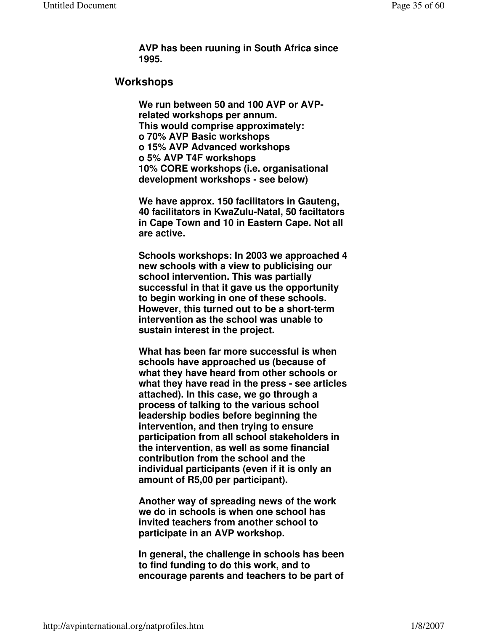**AVP has been ruuning in South Africa since 1995.**

#### **Workshops**

**We run between 50 and 100 AVP or AVPrelated workshops per annum. This would comprise approximately: o 70% AVP Basic workshops o 15% AVP Advanced workshops o 5% AVP T4F workshops 10% CORE workshops (i.e. organisational development workshops - see below)**

**We have approx. 150 facilitators in Gauteng, 40 facilitators in KwaZulu-Natal, 50 faciltators in Cape Town and 10 in Eastern Cape. Not all are active.**

**Schools workshops: In 2003 we approached 4 new schools with a view to publicising our school intervention. This was partially successful in that it gave us the opportunity to begin working in one of these schools. However, this turned out to be a short-term intervention as the school was unable to sustain interest in the project.** 

**What has been far more successful is when schools have approached us (because of what they have heard from other schools or what they have read in the press - see articles attached). In this case, we go through a process of talking to the various school leadership bodies before beginning the intervention, and then trying to ensure participation from all school stakeholders in the intervention, as well as some financial contribution from the school and the individual participants (even if it is only an amount of R5,00 per participant).** 

**Another way of spreading news of the work we do in schools is when one school has invited teachers from another school to participate in an AVP workshop.** 

**In general, the challenge in schools has been to find funding to do this work, and to encourage parents and teachers to be part of**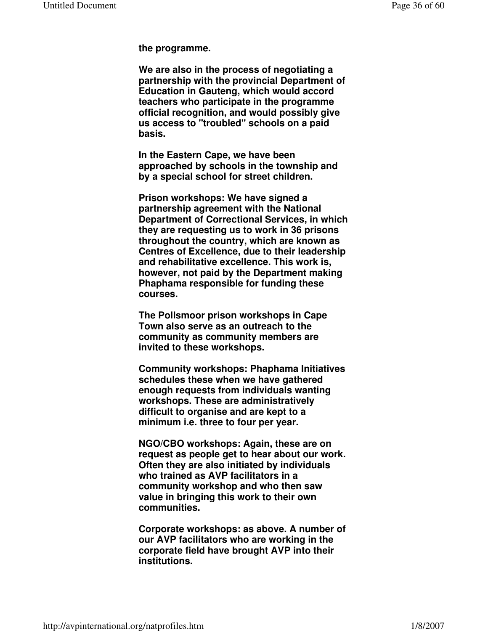**the programme.**

**We are also in the process of negotiating a partnership with the provincial Department of Education in Gauteng, which would accord teachers who participate in the programme official recognition, and would possibly give us access to "troubled" schools on a paid basis.** 

**In the Eastern Cape, we have been approached by schools in the township and by a special school for street children.** 

**Prison workshops: We have signed a partnership agreement with the National Department of Correctional Services, in which they are requesting us to work in 36 prisons throughout the country, which are known as Centres of Excellence, due to their leadership and rehabilitative excellence. This work is, however, not paid by the Department making Phaphama responsible for funding these courses.** 

**The Pollsmoor prison workshops in Cape Town also serve as an outreach to the community as community members are invited to these workshops.** 

**Community workshops: Phaphama Initiatives schedules these when we have gathered enough requests from individuals wanting workshops. These are administratively difficult to organise and are kept to a minimum i.e. three to four per year.** 

**NGO/CBO workshops: Again, these are on request as people get to hear about our work. Often they are also initiated by individuals who trained as AVP facilitators in a community workshop and who then saw value in bringing this work to their own communities.** 

**Corporate workshops: as above. A number of our AVP facilitators who are working in the corporate field have brought AVP into their institutions.**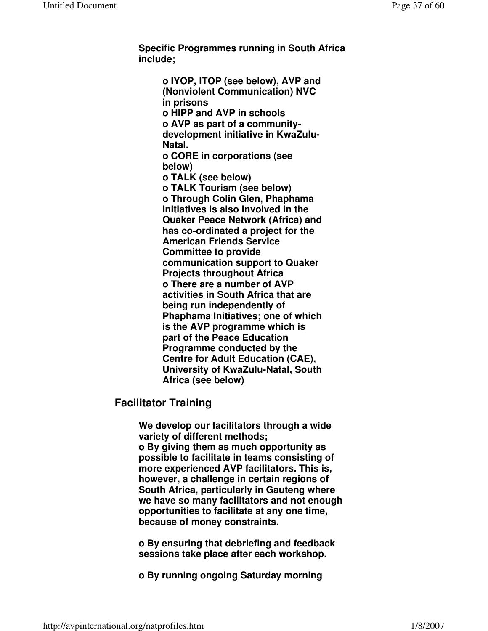**Specific Programmes running in South Africa include;**

> **o IYOP, ITOP (see below), AVP and (Nonviolent Communication) NVC in prisons o HIPP and AVP in schools o AVP as part of a communitydevelopment initiative in KwaZulu-Natal. o CORE in corporations (see below) o TALK (see below) o TALK Tourism (see below) o Through Colin Glen, Phaphama Initiatives is also involved in the Quaker Peace Network (Africa) and has co-ordinated a project for the American Friends Service Committee to provide communication support to Quaker Projects throughout Africa o There are a number of AVP activities in South Africa that are being run independently of Phaphama Initiatives; one of which is the AVP programme which is part of the Peace Education Programme conducted by the Centre for Adult Education (CAE), University of KwaZulu-Natal, South Africa (see below)**

## **Facilitator Training**

**We develop our facilitators through a wide variety of different methods; o By giving them as much opportunity as possible to facilitate in teams consisting of more experienced AVP facilitators. This is, however, a challenge in certain regions of South Africa, particularly in Gauteng where we have so many facilitators and not enough opportunities to facilitate at any one time, because of money constraints.** 

**o By ensuring that debriefing and feedback sessions take place after each workshop.** 

**o By running ongoing Saturday morning**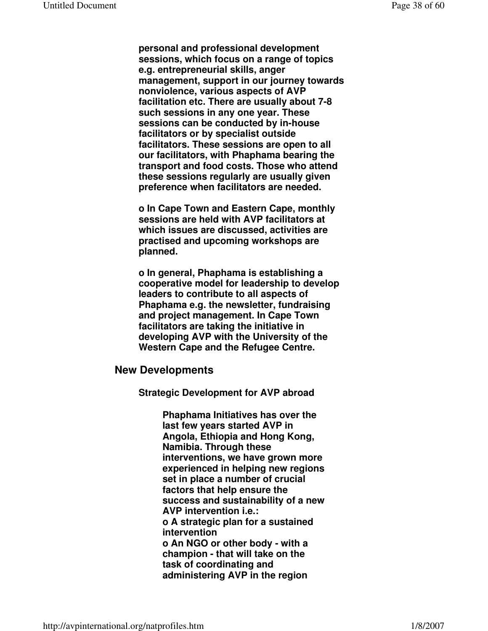**personal and professional development sessions, which focus on a range of topics e.g. entrepreneurial skills, anger management, support in our journey towards nonviolence, various aspects of AVP facilitation etc. There are usually about 7-8 such sessions in any one year. These sessions can be conducted by in-house facilitators or by specialist outside facilitators. These sessions are open to all our facilitators, with Phaphama bearing the transport and food costs. Those who attend these sessions regularly are usually given preference when facilitators are needed.** 

**o In Cape Town and Eastern Cape, monthly sessions are held with AVP facilitators at which issues are discussed, activities are practised and upcoming workshops are planned.** 

**o In general, Phaphama is establishing a cooperative model for leadership to develop leaders to contribute to all aspects of Phaphama e.g. the newsletter, fundraising and project management. In Cape Town facilitators are taking the initiative in developing AVP with the University of the Western Cape and the Refugee Centre.** 

**New Developments**

**Strategic Development for AVP abroad**

**Phaphama Initiatives has over the last few years started AVP in Angola, Ethiopia and Hong Kong, Namibia. Through these interventions, we have grown more experienced in helping new regions set in place a number of crucial factors that help ensure the success and sustainability of a new AVP intervention i.e.: o A strategic plan for a sustained intervention o An NGO or other body - with a champion - that will take on the task of coordinating and administering AVP in the region**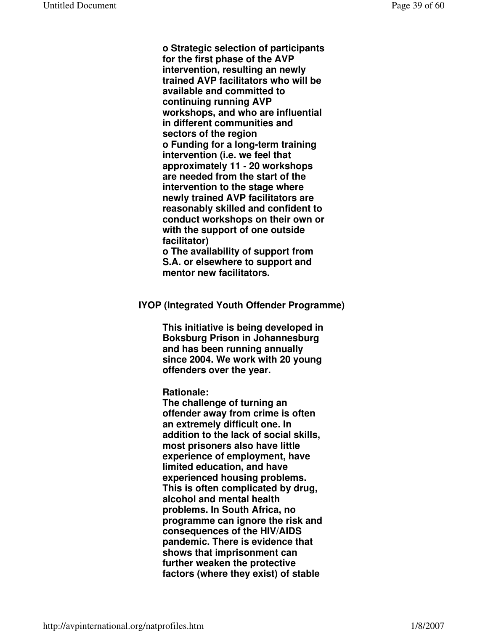**o Strategic selection of participants for the first phase of the AVP intervention, resulting an newly trained AVP facilitators who will be available and committed to continuing running AVP workshops, and who are influential in different communities and sectors of the region o Funding for a long-term training intervention (i.e. we feel that approximately 11 - 20 workshops are needed from the start of the intervention to the stage where newly trained AVP facilitators are reasonably skilled and confident to conduct workshops on their own or with the support of one outside facilitator) o The availability of support from** 

**S.A. or elsewhere to support and mentor new facilitators.**

**IYOP (Integrated Youth Offender Programme)**

**This initiative is being developed in Boksburg Prison in Johannesburg and has been running annually since 2004. We work with 20 young offenders over the year.**

**Rationale:** 

**The challenge of turning an offender away from crime is often an extremely difficult one. In addition to the lack of social skills, most prisoners also have little experience of employment, have limited education, and have experienced housing problems. This is often complicated by drug, alcohol and mental health problems. In South Africa, no programme can ignore the risk and consequences of the HIV/AIDS pandemic. There is evidence that shows that imprisonment can further weaken the protective factors (where they exist) of stable**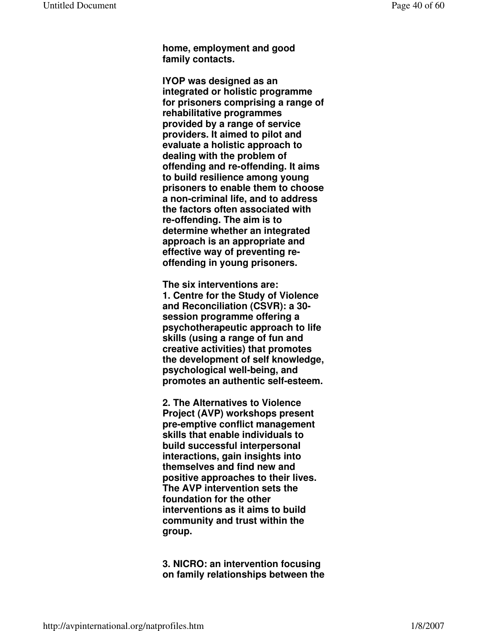**home, employment and good family contacts.** 

**IYOP was designed as an integrated or holistic programme for prisoners comprising a range of rehabilitative programmes provided by a range of service providers. It aimed to pilot and evaluate a holistic approach to dealing with the problem of offending and re-offending. It aims to build resilience among young prisoners to enable them to choose a non-criminal life, and to address the factors often associated with re-offending. The aim is to determine whether an integrated approach is an appropriate and effective way of preventing reoffending in young prisoners.**

**The six interventions are: 1. Centre for the Study of Violence and Reconciliation (CSVR): a 30 session programme offering a psychotherapeutic approach to life skills (using a range of fun and creative activities) that promotes the development of self knowledge, psychological well-being, and promotes an authentic self-esteem.** 

**2. The Alternatives to Violence Project (AVP) workshops present pre-emptive conflict management skills that enable individuals to build successful interpersonal interactions, gain insights into themselves and find new and positive approaches to their lives. The AVP intervention sets the foundation for the other interventions as it aims to build community and trust within the group.**

**3. NICRO: an intervention focusing on family relationships between the**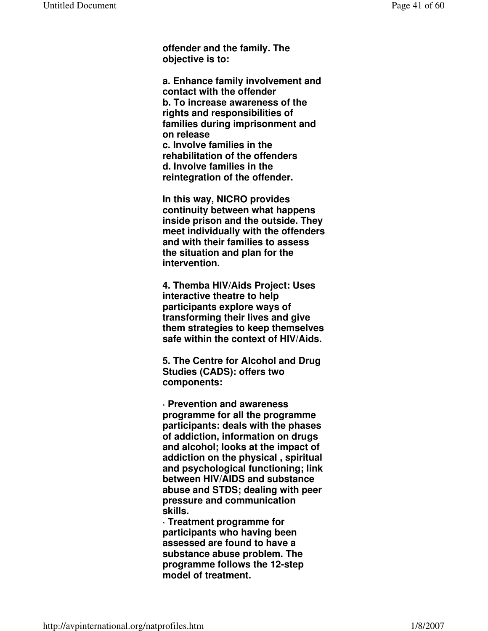**offender and the family. The objective is to:**

**a. Enhance family involvement and contact with the offender b. To increase awareness of the rights and responsibilities of families during imprisonment and on release c. Involve families in the rehabilitation of the offenders d. Involve families in the reintegration of the offender.**

**In this way, NICRO provides continuity between what happens inside prison and the outside. They meet individually with the offenders and with their families to assess the situation and plan for the intervention.** 

**4. Themba HIV/Aids Project: Uses interactive theatre to help participants explore ways of transforming their lives and give them strategies to keep themselves safe within the context of HIV/Aids.** 

**5. The Centre for Alcohol and Drug Studies (CADS): offers two components:**

**· Prevention and awareness programme for all the programme participants: deals with the phases of addiction, information on drugs and alcohol; looks at the impact of addiction on the physical , spiritual and psychological functioning; link between HIV/AIDS and substance abuse and STDS; dealing with peer pressure and communication skills.** 

**· Treatment programme for participants who having been assessed are found to have a substance abuse problem. The programme follows the 12-step model of treatment.**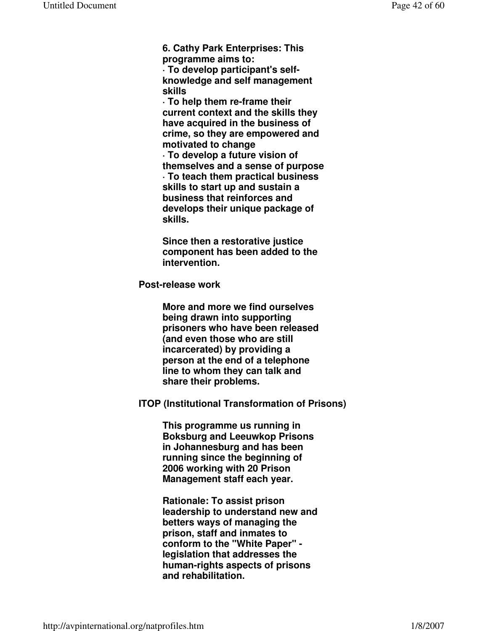**6. Cathy Park Enterprises: This programme aims to:** 

**· To develop participant's selfknowledge and self management skills** 

**· To help them re-frame their current context and the skills they have acquired in the business of crime, so they are empowered and motivated to change** 

**· To develop a future vision of themselves and a sense of purpose · To teach them practical business skills to start up and sustain a business that reinforces and develops their unique package of skills.**

**Since then a restorative justice component has been added to the intervention.**

**Post-release work**

**More and more we find ourselves being drawn into supporting prisoners who have been released (and even those who are still incarcerated) by providing a person at the end of a telephone line to whom they can talk and share their problems.**

**ITOP (Institutional Transformation of Prisons)**

**This programme us running in Boksburg and Leeuwkop Prisons in Johannesburg and has been running since the beginning of 2006 working with 20 Prison Management staff each year.**

**Rationale: To assist prison leadership to understand new and betters ways of managing the prison, staff and inmates to conform to the "White Paper" legislation that addresses the human-rights aspects of prisons and rehabilitation.**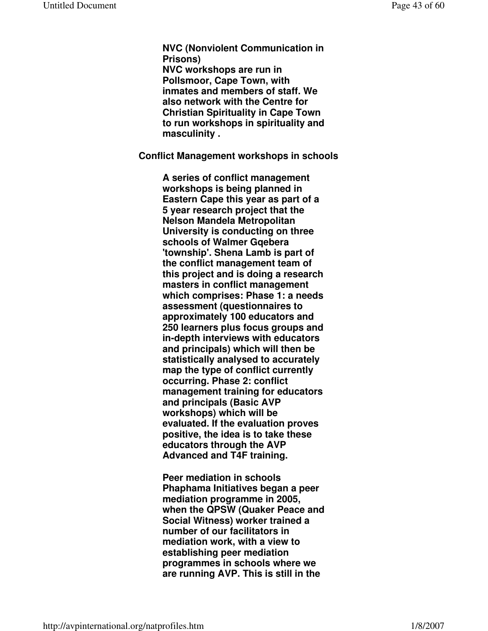**NVC (Nonviolent Communication in Prisons) NVC workshops are run in Pollsmoor, Cape Town, with inmates and members of staff. We also network with the Centre for Christian Spirituality in Cape Town to run workshops in spirituality and masculinity .**

**Conflict Management workshops in schools**

**A series of conflict management workshops is being planned in Eastern Cape this year as part of a 5 year research project that the Nelson Mandela Metropolitan University is conducting on three schools of Walmer Gqebera 'township'. Shena Lamb is part of the conflict management team of this project and is doing a research masters in conflict management which comprises: Phase 1: a needs assessment (questionnaires to approximately 100 educators and 250 learners plus focus groups and in-depth interviews with educators and principals) which will then be statistically analysed to accurately map the type of conflict currently occurring. Phase 2: conflict management training for educators and principals (Basic AVP workshops) which will be evaluated. If the evaluation proves positive, the idea is to take these educators through the AVP Advanced and T4F training.** 

**Peer mediation in schools Phaphama Initiatives began a peer mediation programme in 2005, when the QPSW (Quaker Peace and Social Witness) worker trained a number of our facilitators in mediation work, with a view to establishing peer mediation programmes in schools where we are running AVP. This is still in the**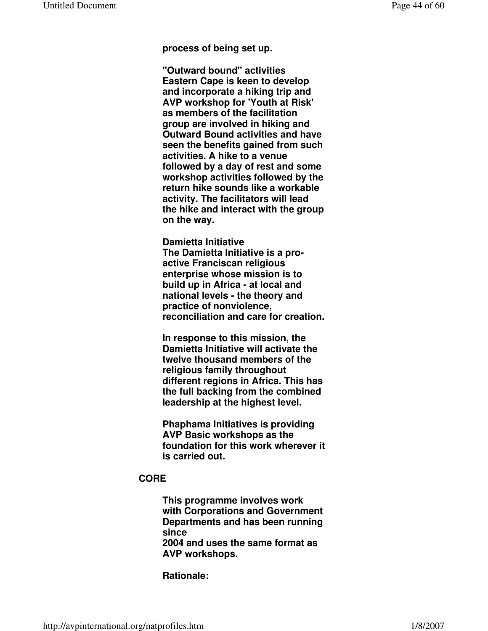**process of being set up.** 

**"Outward bound" activities Eastern Cape is keen to develop and incorporate a hiking trip and AVP workshop for 'Youth at Risk' as members of the facilitation group are involved in hiking and Outward Bound activities and have seen the benefits gained from such activities. A hike to a venue followed by a day of rest and some workshop activities followed by the return hike sounds like a workable activity. The facilitators will lead the hike and interact with the group on the way.**

**Damietta Initiative The Damietta Initiative is a proactive Franciscan religious enterprise whose mission is to build up in Africa - at local and national levels - the theory and practice of nonviolence, reconciliation and care for creation.** 

**In response to this mission, the Damietta Initiative will activate the twelve thousand members of the religious family throughout different regions in Africa. This has the full backing from the combined leadership at the highest level.**

**Phaphama Initiatives is providing AVP Basic workshops as the foundation for this work wherever it is carried out.**

#### **CORE**

**This programme involves work with Corporations and Government Departments and has been running since 2004 and uses the same format as AVP workshops.**

**Rationale:**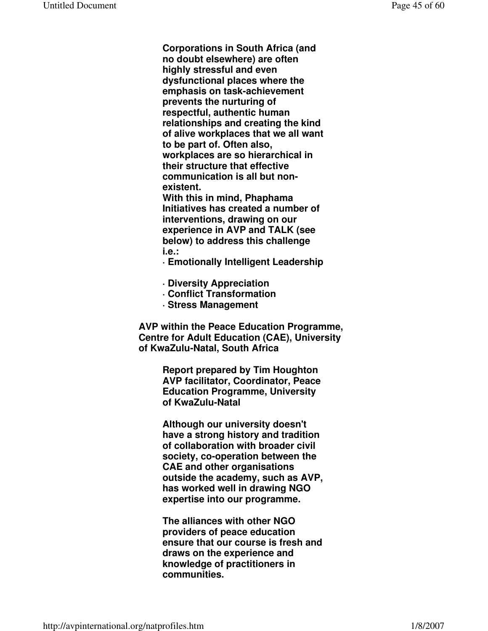**Corporations in South Africa (and no doubt elsewhere) are often highly stressful and even dysfunctional places where the emphasis on task-achievement prevents the nurturing of respectful, authentic human relationships and creating the kind of alive workplaces that we all want to be part of. Often also, workplaces are so hierarchical in their structure that effective communication is all but nonexistent.** 

**With this in mind, Phaphama Initiatives has created a number of interventions, drawing on our experience in AVP and TALK (see below) to address this challenge i.e.:** 

**· Emotionally Intelligent Leadership** 

- **· Diversity Appreciation**
- **· Conflict Transformation**
- **· Stress Management**

**AVP within the Peace Education Programme, Centre for Adult Education (CAE), University of KwaZulu-Natal, South Africa**

> **Report prepared by Tim Houghton AVP facilitator, Coordinator, Peace Education Programme, University of KwaZulu-Natal**

**Although our university doesn't have a strong history and tradition of collaboration with broader civil society, co-operation between the CAE and other organisations outside the academy, such as AVP, has worked well in drawing NGO expertise into our programme.** 

**The alliances with other NGO providers of peace education ensure that our course is fresh and draws on the experience and knowledge of practitioners in communities.**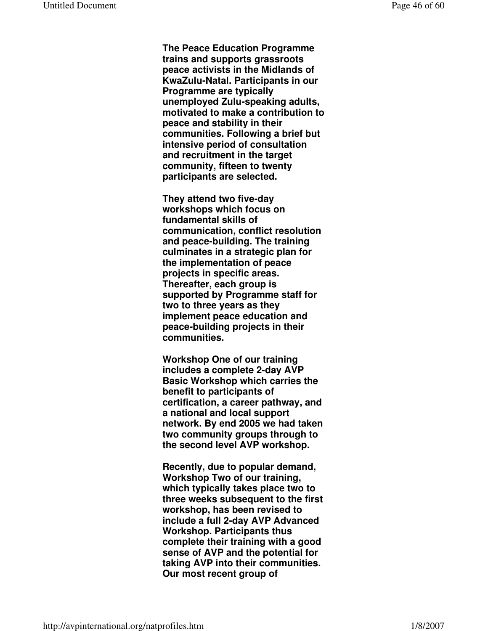**The Peace Education Programme trains and supports grassroots peace activists in the Midlands of KwaZulu-Natal. Participants in our Programme are typically unemployed Zulu-speaking adults, motivated to make a contribution to peace and stability in their communities. Following a brief but intensive period of consultation and recruitment in the target community, fifteen to twenty participants are selected.** 

**They attend two five-day workshops which focus on fundamental skills of communication, conflict resolution and peace-building. The training culminates in a strategic plan for the implementation of peace projects in specific areas. Thereafter, each group is supported by Programme staff for two to three years as they implement peace education and peace-building projects in their communities.**

**Workshop One of our training includes a complete 2-day AVP Basic Workshop which carries the benefit to participants of certification, a career pathway, and a national and local support network. By end 2005 we had taken two community groups through to the second level AVP workshop.**

**Recently, due to popular demand, Workshop Two of our training, which typically takes place two to three weeks subsequent to the first workshop, has been revised to include a full 2-day AVP Advanced Workshop. Participants thus complete their training with a good sense of AVP and the potential for taking AVP into their communities. Our most recent group of**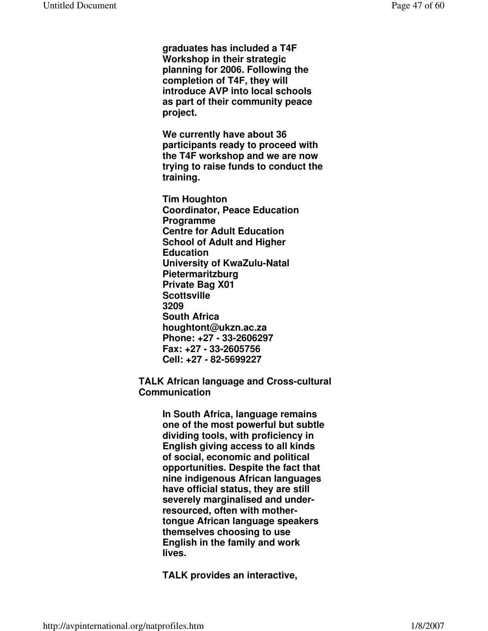**graduates has included a T4F Workshop in their strategic planning for 2006. Following the completion of T4F, they will introduce AVP into local schools as part of their community peace project.**

**We currently have about 36 participants ready to proceed with the T4F workshop and we are now trying to raise funds to conduct the training.**

**Tim Houghton Coordinator, Peace Education Programme Centre for Adult Education School of Adult and Higher Education University of KwaZulu-Natal Pietermaritzburg Private Bag X01 Scottsville 3209 South Africa houghtont@ukzn.ac.za Phone: +27 - 33-2606297 Fax: +27 - 33-2605756 Cell: +27 - 82-5699227**

**TALK African language and Cross-cultural Communication**

> **In South Africa, language remains one of the most powerful but subtle dividing tools, with proficiency in English giving access to all kinds of social, economic and political opportunities. Despite the fact that nine indigenous African languages have official status, they are still severely marginalised and underresourced, often with mothertongue African language speakers themselves choosing to use English in the family and work lives.**

**TALK provides an interactive,**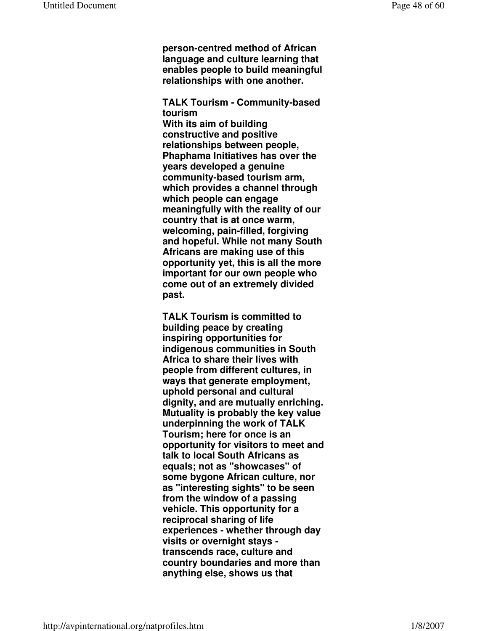**person-centred method of African language and culture learning that enables people to build meaningful relationships with one another.** 

**TALK Tourism - Community-based tourism With its aim of building** 

**constructive and positive relationships between people, Phaphama Initiatives has over the years developed a genuine community-based tourism arm, which provides a channel through which people can engage meaningfully with the reality of our country that is at once warm, welcoming, pain-filled, forgiving and hopeful. While not many South Africans are making use of this opportunity yet, this is all the more important for our own people who come out of an extremely divided past.**

**TALK Tourism is committed to building peace by creating inspiring opportunities for indigenous communities in South Africa to share their lives with people from different cultures, in ways that generate employment, uphold personal and cultural dignity, and are mutually enriching. Mutuality is probably the key value underpinning the work of TALK Tourism; here for once is an opportunity for visitors to meet and talk to local South Africans as equals; not as "showcases" of some bygone African culture, nor as "interesting sights" to be seen from the window of a passing vehicle. This opportunity for a reciprocal sharing of life experiences - whether through day visits or overnight stays transcends race, culture and country boundaries and more than anything else, shows us that**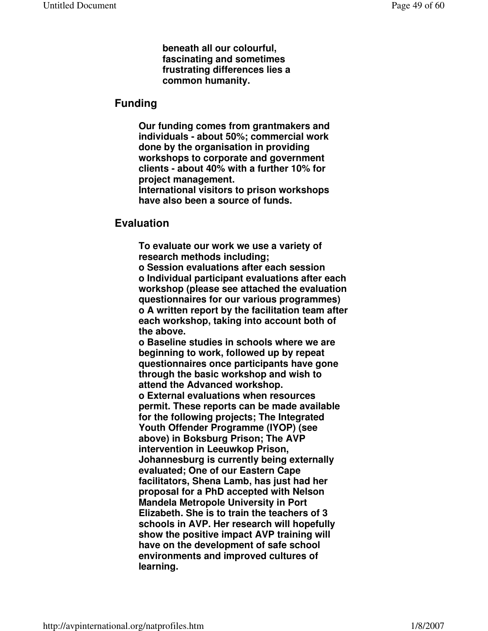**beneath all our colourful, fascinating and sometimes frustrating differences lies a common humanity.**

## **Funding**

**Our funding comes from grantmakers and individuals - about 50%; commercial work done by the organisation in providing workshops to corporate and government clients - about 40% with a further 10% for project management. International visitors to prison workshops have also been a source of funds.**

## **Evaluation**

**To evaluate our work we use a variety of research methods including;** 

**o Session evaluations after each session o Individual participant evaluations after each workshop (please see attached the evaluation questionnaires for our various programmes) o A written report by the facilitation team after each workshop, taking into account both of the above.** 

**o Baseline studies in schools where we are beginning to work, followed up by repeat questionnaires once participants have gone through the basic workshop and wish to attend the Advanced workshop. o External evaluations when resources permit. These reports can be made available for the following projects; The Integrated Youth Offender Programme (IYOP) (see above) in Boksburg Prison; The AVP intervention in Leeuwkop Prison, Johannesburg is currently being externally evaluated; One of our Eastern Cape facilitators, Shena Lamb, has just had her proposal for a PhD accepted with Nelson Mandela Metropole University in Port Elizabeth. She is to train the teachers of 3 schools in AVP. Her research will hopefully show the positive impact AVP training will have on the development of safe school environments and improved cultures of learning.**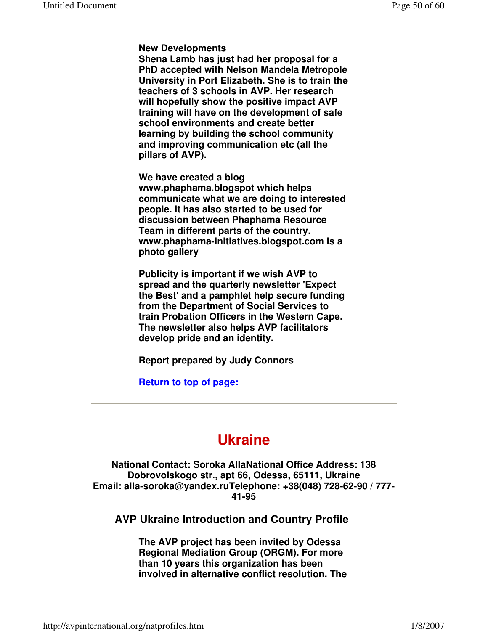**New Developments**

**Shena Lamb has just had her proposal for a PhD accepted with Nelson Mandela Metropole University in Port Elizabeth. She is to train the teachers of 3 schools in AVP. Her research will hopefully show the positive impact AVP training will have on the development of safe school environments and create better learning by building the school community and improving communication etc (all the pillars of AVP).**

**We have created a blog www.phaphama.blogspot which helps communicate what we are doing to interested people. It has also started to be used for discussion between Phaphama Resource Team in different parts of the country. www.phaphama-initiatives.blogspot.com is a photo gallery**

**Publicity is important if we wish AVP to spread and the quarterly newsletter 'Expect the Best' and a pamphlet help secure funding from the Department of Social Services to train Probation Officers in the Western Cape. The newsletter also helps AVP facilitators develop pride and an identity.**

**Report prepared by Judy Connors**

**Return to top of page:**

## **Ukraine**

**National Contact: Soroka AllaNational Office Address: 138 Dobrovolskogo str., apt 66, Odessa, 65111, Ukraine Email: alla-soroka@yandex.ruTelephone: +38(048) 728-62-90 / 777- 41-95**

**AVP Ukraine Introduction and Country Profile**

**The AVP project has been invited by Odessa Regional Mediation Group (ORGM). For more than 10 years this organization has been involved in alternative conflict resolution. The**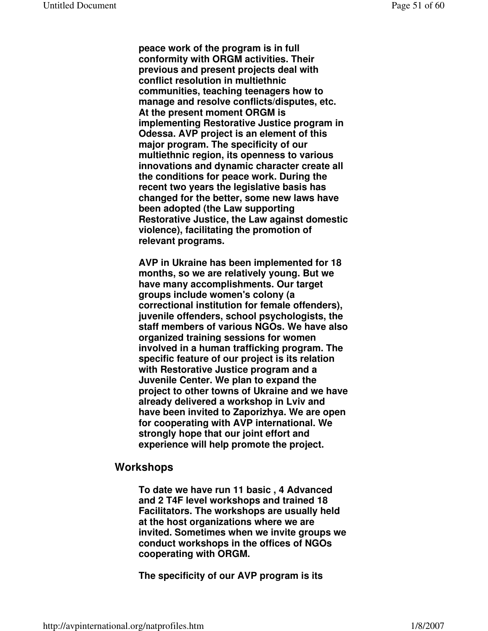**peace work of the program is in full conformity with ORGM activities. Their previous and present projects deal with conflict resolution in multiethnic communities, teaching teenagers how to manage and resolve conflicts/disputes, etc. At the present moment ORGM is implementing Restorative Justice program in Odessa. AVP project is an element of this major program. The specificity of our multiethnic region, its openness to various innovations and dynamic character create all the conditions for peace work. During the recent two years the legislative basis has changed for the better, some new laws have been adopted (the Law supporting Restorative Justice, the Law against domestic violence), facilitating the promotion of relevant programs.** 

**AVP in Ukraine has been implemented for 18 months, so we are relatively young. But we have many accomplishments. Our target groups include women's colony (a correctional institution for female offenders), juvenile offenders, school psychologists, the staff members of various NGOs. We have also organized training sessions for women involved in a human trafficking program. The specific feature of our project is its relation with Restorative Justice program and a Juvenile Center. We plan to expand the project to other towns of Ukraine and we have already delivered a workshop in Lviv and have been invited to Zaporizhya. We are open for cooperating with AVP international. We strongly hope that our joint effort and experience will help promote the project.**

#### **Workshops**

**To date we have run 11 basic , 4 Advanced and 2 T4F level workshops and trained 18 Facilitators. The workshops are usually held at the host organizations where we are invited. Sometimes when we invite groups we conduct workshops in the offices of NGOs cooperating with ORGM.** 

**The specificity of our AVP program is its**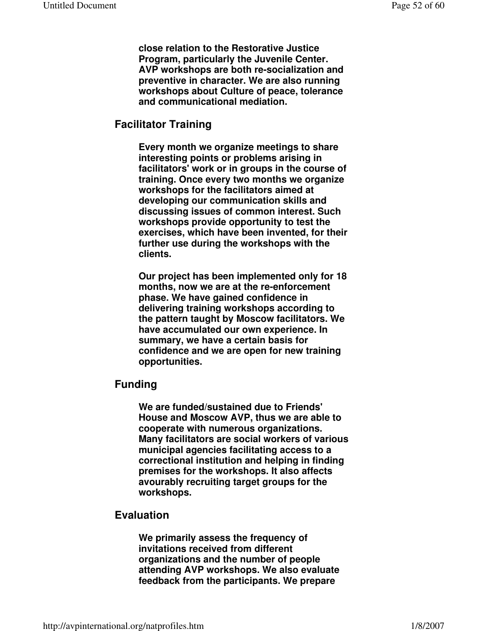**close relation to the Restorative Justice Program, particularly the Juvenile Center. AVP workshops are both re-socialization and preventive in character. We are also running workshops about Culture of peace, tolerance and communicational mediation.** 

## **Facilitator Training**

**Every month we organize meetings to share interesting points or problems arising in facilitators' work or in groups in the course of training. Once every two months we organize workshops for the facilitators aimed at developing our communication skills and discussing issues of common interest. Such workshops provide opportunity to test the exercises, which have been invented, for their further use during the workshops with the clients.**

**Our project has been implemented only for 18 months, now we are at the re-enforcement phase. We have gained confidence in delivering training workshops according to the pattern taught by Moscow facilitators. We have accumulated our own experience. In summary, we have a certain basis for confidence and we are open for new training opportunities.**

## **Funding**

**We are funded/sustained due to Friends' House and Moscow AVP, thus we are able to cooperate with numerous organizations. Many facilitators are social workers of various municipal agencies facilitating access to a correctional institution and helping in finding premises for the workshops. It also affects avourably recruiting target groups for the workshops.**

## **Evaluation**

**We primarily assess the frequency of invitations received from different organizations and the number of people attending AVP workshops. We also evaluate feedback from the participants. We prepare**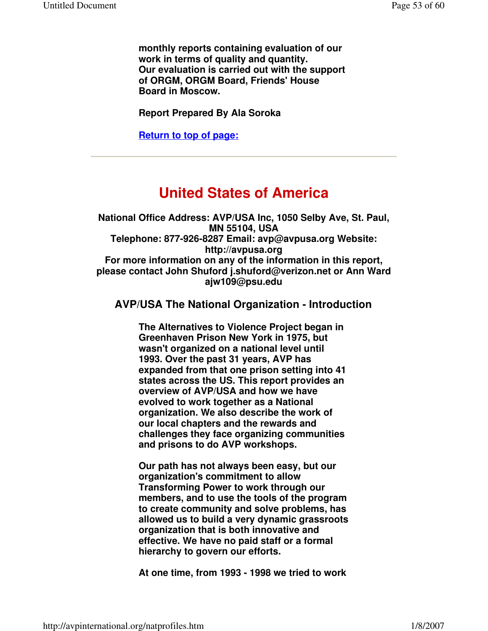**monthly reports containing evaluation of our work in terms of quality and quantity. Our evaluation is carried out with the support of ORGM, ORGM Board, Friends' House Board in Moscow.** 

**Report Prepared By Ala Soroka**

**Return to top of page:**

## **United States of America**

**National Office Address: AVP/USA Inc, 1050 Selby Ave, St. Paul, MN 55104, USA Telephone: 877-926-8287 Email: avp@avpusa.org Website: http://avpusa.org For more information on any of the information in this report, please contact John Shuford j.shuford@verizon.net or Ann Ward ajw109@psu.edu**

**AVP/USA The National Organization - Introduction**

**The Alternatives to Violence Project began in Greenhaven Prison New York in 1975, but wasn't organized on a national level until 1993. Over the past 31 years, AVP has expanded from that one prison setting into 41 states across the US. This report provides an overview of AVP/USA and how we have evolved to work together as a National organization. We also describe the work of our local chapters and the rewards and challenges they face organizing communities and prisons to do AVP workshops.** 

**Our path has not always been easy, but our organization's commitment to allow Transforming Power to work through our members, and to use the tools of the program to create community and solve problems, has allowed us to build a very dynamic grassroots organization that is both innovative and effective. We have no paid staff or a formal hierarchy to govern our efforts.** 

**At one time, from 1993 - 1998 we tried to work**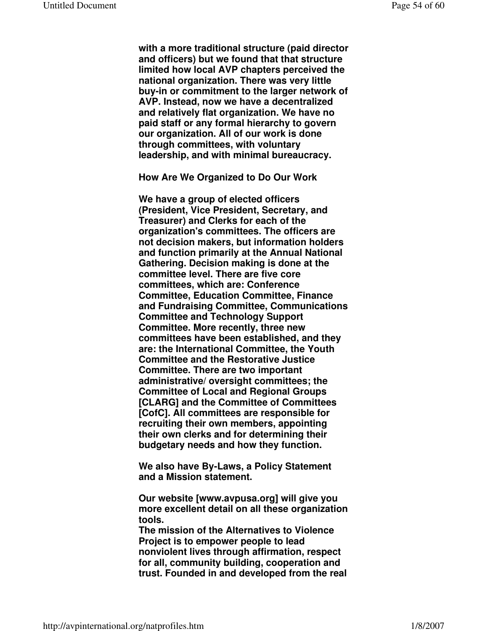**with a more traditional structure (paid director and officers) but we found that that structure limited how local AVP chapters perceived the national organization. There was very little buy-in or commitment to the larger network of AVP. Instead, now we have a decentralized and relatively flat organization. We have no paid staff or any formal hierarchy to govern our organization. All of our work is done through committees, with voluntary leadership, and with minimal bureaucracy.** 

**How Are We Organized to Do Our Work** 

**We have a group of elected officers (President, Vice President, Secretary, and Treasurer) and Clerks for each of the organization's committees. The officers are not decision makers, but information holders and function primarily at the Annual National Gathering. Decision making is done at the committee level. There are five core committees, which are: Conference Committee, Education Committee, Finance and Fundraising Committee, Communications Committee and Technology Support Committee. More recently, three new committees have been established, and they are: the International Committee, the Youth Committee and the Restorative Justice Committee. There are two important administrative/ oversight committees; the Committee of Local and Regional Groups [CLARG] and the Committee of Committees [CofC]. All committees are responsible for recruiting their own members, appointing their own clerks and for determining their budgetary needs and how they function.** 

**We also have By-Laws, a Policy Statement and a Mission statement.** 

**Our website [www.avpusa.org] will give you more excellent detail on all these organization tools.** 

**The mission of the Alternatives to Violence Project is to empower people to lead nonviolent lives through affirmation, respect for all, community building, cooperation and trust. Founded in and developed from the real**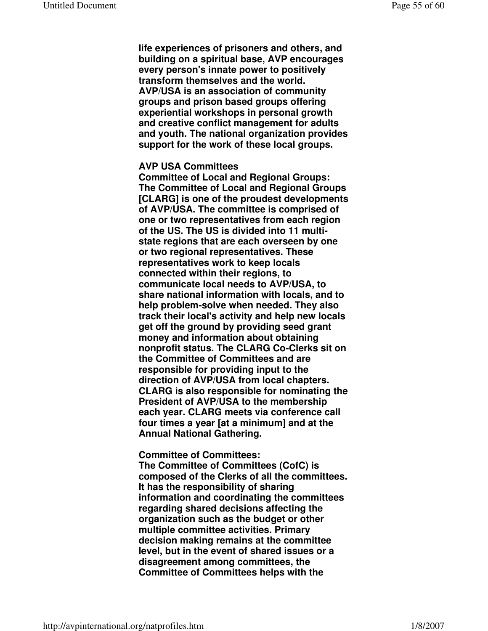**life experiences of prisoners and others, and building on a spiritual base, AVP encourages every person's innate power to positively transform themselves and the world. AVP/USA is an association of community groups and prison based groups offering experiential workshops in personal growth and creative conflict management for adults and youth. The national organization provides support for the work of these local groups.**

#### **AVP USA Committees**

**Committee of Local and Regional Groups: The Committee of Local and Regional Groups [CLARG] is one of the proudest developments of AVP/USA. The committee is comprised of one or two representatives from each region of the US. The US is divided into 11 multistate regions that are each overseen by one or two regional representatives. These representatives work to keep locals connected within their regions, to communicate local needs to AVP/USA, to share national information with locals, and to help problem-solve when needed. They also track their local's activity and help new locals get off the ground by providing seed grant money and information about obtaining nonprofit status. The CLARG Co-Clerks sit on the Committee of Committees and are responsible for providing input to the direction of AVP/USA from local chapters. CLARG is also responsible for nominating the President of AVP/USA to the membership each year. CLARG meets via conference call four times a year [at a minimum] and at the Annual National Gathering.** 

#### **Committee of Committees:**

**The Committee of Committees (CofC) is composed of the Clerks of all the committees. It has the responsibility of sharing information and coordinating the committees regarding shared decisions affecting the organization such as the budget or other multiple committee activities. Primary decision making remains at the committee level, but in the event of shared issues or a disagreement among committees, the Committee of Committees helps with the**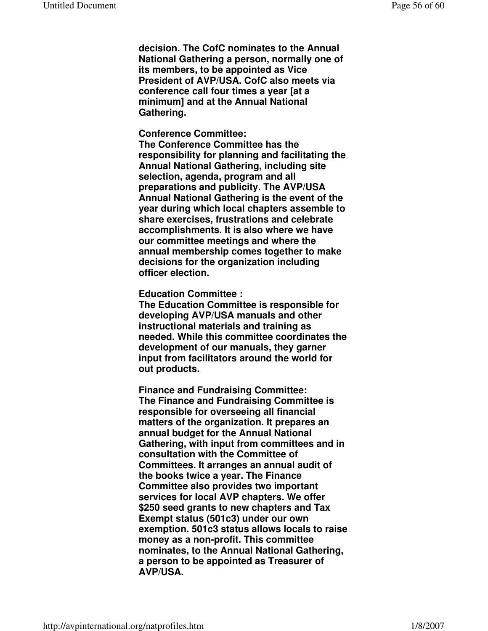**decision. The CofC nominates to the Annual National Gathering a person, normally one of its members, to be appointed as Vice President of AVP/USA. CofC also meets via conference call four times a year [at a minimum] and at the Annual National Gathering.** 

### **Conference Committee:**

**The Conference Committee has the responsibility for planning and facilitating the Annual National Gathering, including site selection, agenda, program and all preparations and publicity. The AVP/USA Annual National Gathering is the event of the year during which local chapters assemble to share exercises, frustrations and celebrate accomplishments. It is also where we have our committee meetings and where the annual membership comes together to make decisions for the organization including officer election.** 

**Education Committee :** 

**The Education Committee is responsible for developing AVP/USA manuals and other instructional materials and training as needed. While this committee coordinates the development of our manuals, they garner input from facilitators around the world for out products.** 

**Finance and Fundraising Committee: The Finance and Fundraising Committee is responsible for overseeing all financial matters of the organization. It prepares an annual budget for the Annual National Gathering, with input from committees and in consultation with the Committee of Committees. It arranges an annual audit of the books twice a year. The Finance Committee also provides two important services for local AVP chapters. We offer \$250 seed grants to new chapters and Tax Exempt status (501c3) under our own exemption. 501c3 status allows locals to raise money as a non-profit. This committee nominates, to the Annual National Gathering, a person to be appointed as Treasurer of AVP/USA.**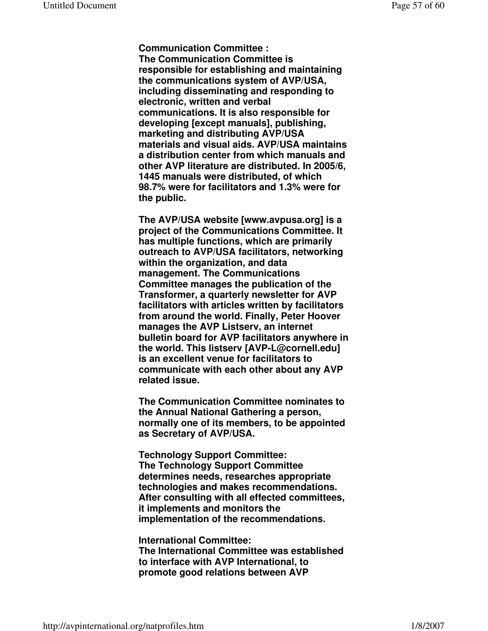**Communication Committee : The Communication Committee is responsible for establishing and maintaining the communications system of AVP/USA, including disseminating and responding to electronic, written and verbal communications. It is also responsible for developing [except manuals], publishing, marketing and distributing AVP/USA materials and visual aids. AVP/USA maintains a distribution center from which manuals and other AVP literature are distributed. In 2005/6, 1445 manuals were distributed, of which 98.7% were for facilitators and 1.3% were for the public.**

**The AVP/USA website [www.avpusa.org] is a project of the Communications Committee. It has multiple functions, which are primarily outreach to AVP/USA facilitators, networking within the organization, and data management. The Communications Committee manages the publication of the Transformer, a quarterly newsletter for AVP facilitators with articles written by facilitators from around the world. Finally, Peter Hoover manages the AVP Listserv, an internet bulletin board for AVP facilitators anywhere in the world. This listserv [AVP-L@cornell.edu] is an excellent venue for facilitators to communicate with each other about any AVP related issue.** 

**The Communication Committee nominates to the Annual National Gathering a person, normally one of its members, to be appointed as Secretary of AVP/USA.** 

**Technology Support Committee: The Technology Support Committee determines needs, researches appropriate technologies and makes recommendations. After consulting with all effected committees, it implements and monitors the implementation of the recommendations.** 

**International Committee: The International Committee was established to interface with AVP International, to promote good relations between AVP**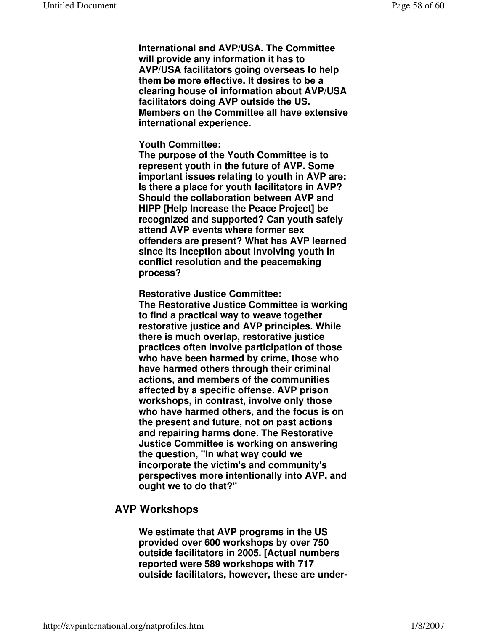**International and AVP/USA. The Committee will provide any information it has to AVP/USA facilitators going overseas to help them be more effective. It desires to be a clearing house of information about AVP/USA facilitators doing AVP outside the US. Members on the Committee all have extensive international experience.** 

### **Youth Committee:**

**The purpose of the Youth Committee is to represent youth in the future of AVP. Some important issues relating to youth in AVP are: Is there a place for youth facilitators in AVP? Should the collaboration between AVP and HIPP [Help Increase the Peace Project] be recognized and supported? Can youth safely attend AVP events where former sex offenders are present? What has AVP learned since its inception about involving youth in conflict resolution and the peacemaking process?** 

**Restorative Justice Committee: The Restorative Justice Committee is working to find a practical way to weave together restorative justice and AVP principles. While there is much overlap, restorative justice practices often involve participation of those who have been harmed by crime, those who have harmed others through their criminal actions, and members of the communities affected by a specific offense. AVP prison workshops, in contrast, involve only those who have harmed others, and the focus is on the present and future, not on past actions and repairing harms done. The Restorative Justice Committee is working on answering the question, "In what way could we incorporate the victim's and community's perspectives more intentionally into AVP, and ought we to do that?"**

#### **AVP Workshops**

**We estimate that AVP programs in the US provided over 600 workshops by over 750 outside facilitators in 2005. [Actual numbers reported were 589 workshops with 717 outside facilitators, however, these are under-**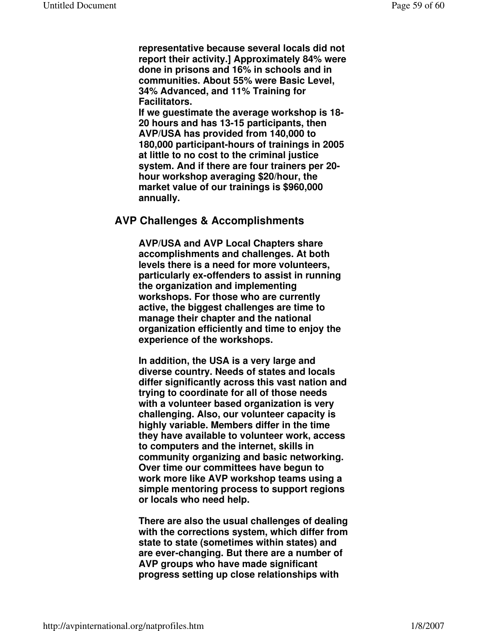**representative because several locals did not report their activity.] Approximately 84% were done in prisons and 16% in schools and in communities. About 55% were Basic Level, 34% Advanced, and 11% Training for Facilitators.** 

**If we guestimate the average workshop is 18- 20 hours and has 13-15 participants, then AVP/USA has provided from 140,000 to 180,000 participant-hours of trainings in 2005 at little to no cost to the criminal justice system. And if there are four trainers per 20 hour workshop averaging \$20/hour, the market value of our trainings is \$960,000 annually.**

### **AVP Challenges & Accomplishments**

**AVP/USA and AVP Local Chapters share accomplishments and challenges. At both levels there is a need for more volunteers, particularly ex-offenders to assist in running the organization and implementing workshops. For those who are currently active, the biggest challenges are time to manage their chapter and the national organization efficiently and time to enjoy the experience of the workshops.** 

**In addition, the USA is a very large and diverse country. Needs of states and locals differ significantly across this vast nation and trying to coordinate for all of those needs with a volunteer based organization is very challenging. Also, our volunteer capacity is highly variable. Members differ in the time they have available to volunteer work, access to computers and the internet, skills in community organizing and basic networking. Over time our committees have begun to work more like AVP workshop teams using a simple mentoring process to support regions or locals who need help.** 

**There are also the usual challenges of dealing with the corrections system, which differ from state to state (sometimes within states) and are ever-changing. But there are a number of AVP groups who have made significant progress setting up close relationships with**